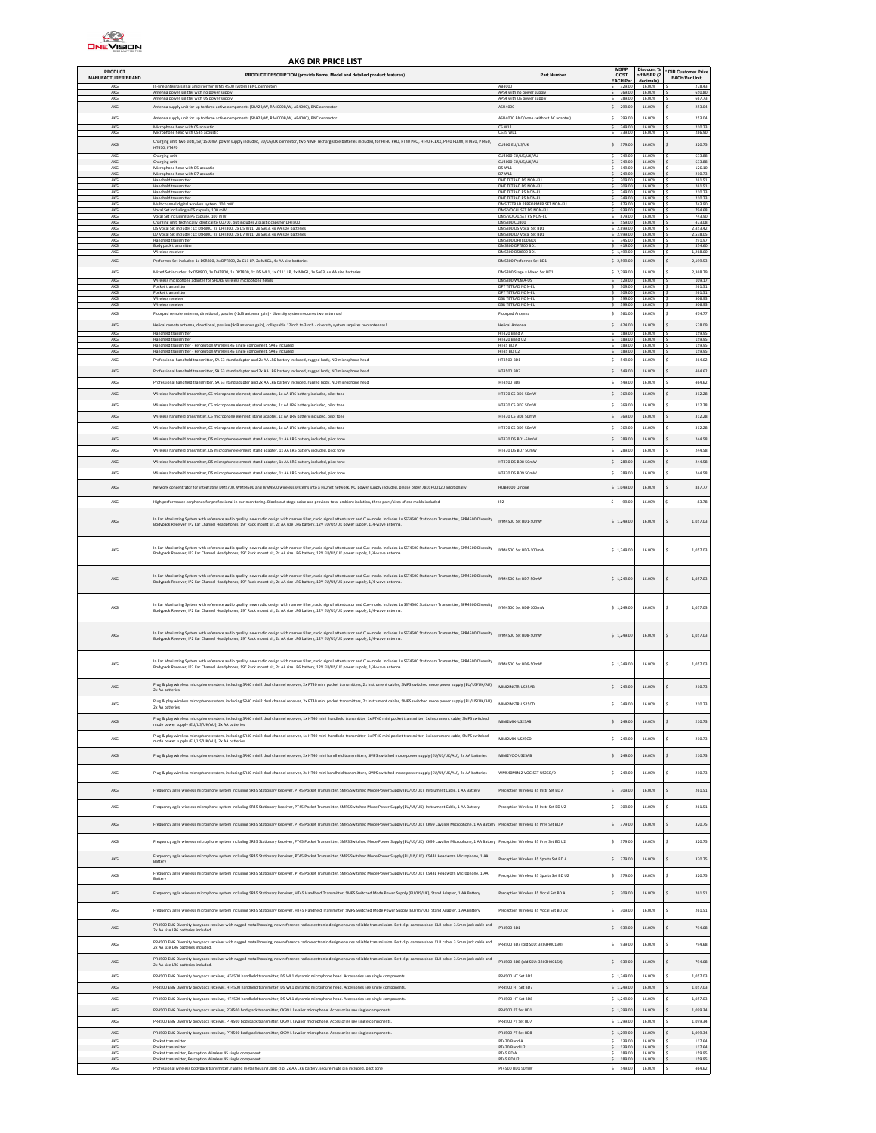

## AKG DIR PRICE LIST

| PRODUCT<br>MANUFACTURER/BRAND | PRODUCT DESCRIPTION (provide Name, Model and detailed product features)                                                                                                                                                                                                                                                                     | Part Number                                                                    | <b>MSRP</b><br>COST<br>EACH/Per     | Discount %<br>off MSRP (2)<br>decimals) | <b>DIR Customer Price</b><br><b>EACH/Per Unit</b> |
|-------------------------------|---------------------------------------------------------------------------------------------------------------------------------------------------------------------------------------------------------------------------------------------------------------------------------------------------------------------------------------------|--------------------------------------------------------------------------------|-------------------------------------|-----------------------------------------|---------------------------------------------------|
| $\Delta K$ C<br>AKG           | -line antenna signal amplifier for WMS 4500 system (BNC connector)<br>Intenna power splitter with no power supply                                                                                                                                                                                                                           | ARADOC<br>APS4 with no nower sunnly                                            | 769.00                              | 16,00%                                  | 278.43<br>650.80                                  |
| AKG<br>AKG                    | Antenna power splitter with US power supply<br>ntenna supply unit for up to three active components (SRA2B/W, RA4000B/W, AB4000), BNC connector                                                                                                                                                                                             | APS4 with US power supply<br>ASU4000                                           | 789.00<br>\$ 299.00                 | 16.00%<br>16.00%                        | 667.73<br>253.04                                  |
| AKG                           | Intenna supply unit for up to three active components (SRA2B/W, RA4000B/W, AB4000), BNC connector                                                                                                                                                                                                                                           | ASLI4000 RNC/none (without AC adapter)                                         | \$ 299.00                           | 16,00%                                  | 253.04                                            |
| AKG<br>AKG                    | Microphone head with C5 acoustic<br>Microphone head with C535 acousti                                                                                                                                                                                                                                                                       | CS WL1<br><b>CS35 WL1</b>                                                      | $S$ 249.00<br>339.00                | 16,00%<br>16,00%                        | 210.73<br>286.90                                  |
| $AKG$                         | .<br>harging unit, two slots, SV/1500mA power supply included, EU/US/UK connector, two NiMH rechargeable batteries included, for HT40 PRO, PT40 PRO, HT40 FLEXX, PT40 FLEXX, HT450, PT460,<br>T470, PT470                                                                                                                                   | CU400 EU/US/UK                                                                 | \$ 379.00                           | 16.00%                                  | 320.75                                            |
| AKG<br>AKG<br>AKG             | Charging unit<br>Charging unit                                                                                                                                                                                                                                                                                                              | CU4000 EU/US/UK/AU<br>CU4000 EU/US/UK/AU                                       | 749.00<br>749.00                    | 16.00%<br>16.00%                        | 633.88<br>633.88                                  |
| AKG                           | Microphone head with D5 acoustic<br>Microphone head with D7 acoustic                                                                                                                                                                                                                                                                        | DS WL1<br><b>D7 WL1</b>                                                        | 149.0<br>249.00                     | 16.00%<br>16,00%                        | 126.10<br>210.73                                  |
| AKG<br>AKG                    | Handheld transmitter<br>Handheld transmitter                                                                                                                                                                                                                                                                                                | DHT TETRAD DS NON-EU<br>DHT TETRAD DS NON-EU                                   | 309.00<br>\$ 309.00                 | 16,00%<br>16.00%                        | 261.51<br>261.51                                  |
| AKG<br>AKG<br>AKG             | Handheld transmitter<br>andheld transmitter<br>Multichannel digital wireless system, 100 mW                                                                                                                                                                                                                                                 | DHT TETRAD PS NON-EU<br>HT TETRAD PS NON-EU<br>DMS TETRAD PERFORMER SET NON-EU | 249.00<br>249.00<br>\$ 879.00       | 16.00%<br>16.00%<br>16,00%              | 210.73<br>210.73<br>743.90                        |
| AKG                           | ocal Set including a DS capsule, 100 mW.                                                                                                                                                                                                                                                                                                    | DMS VOCAL SET DS NON-FLL<br>DMS VOCAL SET PS NON-EU                            | 939.00                              | 16,00%                                  | 794.68                                            |
| AKG<br>AKG<br>AKG             | Vocal Set including a P5 capsule, 100 mW.<br>Charging unit, technically identical to CU700, but includes 2 plastic caps for DHT800                                                                                                                                                                                                          | DMS800 CU800<br>DMS800 DS Vocal Set BD1                                        | \$ 879.00<br>\$559.00<br>\$7,899.00 | 16.00%<br>16.00%<br>16.00%              | 743.90<br>473.08<br>2,453.42                      |
| AKG<br>AKG                    | 05 Vocal Set includes: 1x DSR800, 2x DHT800, 2x D5 WL1, 2x SA63, 4x AA size batteries<br>D7 Vocal Set includes: 1x DSR800, 2x DHT800, 2x D7 WL1, 2x SA63, 4x AA size batteries<br>landheld transmitter                                                                                                                                      | DMS800 D7 Vocal Set RD1<br>DMS800 DHT800 BD1                                   | \$2,999.00<br>\$345.00              | 16.00%<br>16,00%                        | 2.538.05<br>291.97                                |
| AKG<br>AKG                    | Body pack transmitter                                                                                                                                                                                                                                                                                                                       | DMS800 DPT800 BD1<br>DMS800 DSR800 BD1                                         | \$ 419.00<br>\$1,499.00             | 16.00%<br>16.00%                        | 354.60<br>1,268.60                                |
| AKG                           | Mireless receive<br>erformer Set includes: 1x DSR800, 2x DPT800, 2x C11 LP, 2x MKGL, 4x AA size batteries                                                                                                                                                                                                                                   | DMS800 Performer Set BD1                                                       | \$2,599.00                          | 16.00%                                  | 2,199.53                                          |
| AKG                           | Mixed Set includes: 1x DSR800, 1x DHT800, 1x DPT800, 1x D5 WL1, 1x C111 LP, 1x MKGL, 1x SA63, 4x AA size batteries                                                                                                                                                                                                                          | DMS800 Stage = Mixed Set BD1                                                   | \$2,799.00                          | 16.00%                                  | 2,368.79                                          |
| AKG<br>AKG                    | Wireless microphone adapter for SHURE wireless microphone heads<br>Pocket transmitter                                                                                                                                                                                                                                                       | DMS800 WLMA-US<br>DPT TETRAD NON-EU                                            | \$129.00<br>309.00                  | 16.00%<br>16.00%                        | 109.17<br>261.51                                  |
| AKG<br>AKG                    | Pocket transmitter<br>Wireless receive                                                                                                                                                                                                                                                                                                      | DPT TETRAD NON-EU<br>DSR TETRAD NON-EL                                         | 309.00<br>599.00                    | 16.00%<br>16.00%                        | 261.51<br>506.93                                  |
| AKG<br>AKG                    | Mireless receiver<br>loorpad remote antenna, directional, passive (-1dB antenna gain) - diversity system requires two antennas!                                                                                                                                                                                                             | DSR TETRAD NON-EU<br>loorpad Antenna                                           | 599.00<br>$\sim$<br>561.00          | 16,00%<br>16,00%                        | 506.93<br>474.77                                  |
| AKG                           | ielical remote antenna, directional, passive (9dB antenna gain), collapsable 12inch to 3inch - diversity system requires two antennas!                                                                                                                                                                                                      | Helical Antenna                                                                | \$624.00                            | 16,00%                                  | 528.09                                            |
| AKG                           | Handheld transmitte                                                                                                                                                                                                                                                                                                                         | HT420 Band                                                                     | 189.00                              | 16.00%                                  | 159.95                                            |
| AKG<br>AKG                    | andheld transmitter<br>andheld transmitter - Perception Wireless 45 single component, SA45 included                                                                                                                                                                                                                                         | HT420 Band U<br>HT45 BD A                                                      | 189.00<br>189.00                    | 16.00%<br>16,00%                        | 159.95<br>159.95                                  |
| AKG<br>AKG                    | Handheld transmitter - Perception Wireless 45 single component, SA45 included<br>Professional handheld transmitter, SA 63 stand adapter and 2x AA LR6 battery included, rugged body, NO microphone head                                                                                                                                     | HT45 BD U2<br>HT4500 BD1                                                       | 189.00<br>s.<br>\$5549.00           | 16.00%<br>16.00%                        | 159.95<br>464.62                                  |
| AKG                           | Professional handheld transmitter, SA 63 stand adapter and 2x AA LR6 battery included, rugged body, NO microphone head                                                                                                                                                                                                                      | HT4500 BD7                                                                     | \$ 549.00                           | 16.00%                                  | 464.62                                            |
| AKG                           | rofessional handheld transmitter, SA 63 stand adapter and 2x AA LR6 battery included, rugged body, NO microphone head                                                                                                                                                                                                                       | 1T4500 BD8                                                                     | \$5549.00                           | 16.00%                                  | 464.62                                            |
| AKG                           | Wireless handheld transmitter. C5 microphone element, stand adapter, 1x AA LR6 battery included, pilot tone                                                                                                                                                                                                                                 | HT470 CS BD1 50mW                                                              | \$369.00                            | 16.00%                                  | 312.28                                            |
| AKG                           | Wireless handheld transmitter. C5 microphone element, stand adapter. 1x AA LR6 battery included, pilot tone                                                                                                                                                                                                                                 | HT470 CS BD7 50mW                                                              | \$ 369.00                           | 16.00%                                  | 312.28                                            |
| AKG                           | lireless handheld transmitter, CS microphone element, stand adapter, 1x AA LR6 battery included, pilot tone                                                                                                                                                                                                                                 | T470 CS BD8 50mW                                                               | 369.00                              | 16,00%                                  | 312.28                                            |
| AKG                           | ireless handheld transmitter, CS microphone element, stand adapter, 1x AA LR6 battery included, pilot tone                                                                                                                                                                                                                                  | 17470 CS BD9 50mW                                                              | \$369.00                            | 16.00%                                  | 312.28                                            |
| AKG                           | Wireless handheld transmitter, D5 microphone element, stand adapter, 1x AA LR6 battery included, pilot tone                                                                                                                                                                                                                                 | HT470 D5 BD1-50mW                                                              | \$289.00                            | 16.00%                                  | 244.58                                            |
| AKG                           | fireless handheld transmitter. D5 microphone element, stand adapter. 1x AA LR6 battery included, pilot tone                                                                                                                                                                                                                                 | HT470 DS BD7 50mW                                                              | $\sim$<br>289.00                    | 16.00%                                  | 244.58                                            |
| AKG<br>AKG                    | Mireless handheld transmitter, D5 microphone element, stand adapter, 1x AA LR6 battery included, pilot tone                                                                                                                                                                                                                                 | HT470 D5 BD8 50mW<br>HT470 DS BD9 50mW                                         | \$289.00<br>\$289.00                | 16.00%<br>16.00%                        | 244.58<br>244.58                                  |
|                               | Wreless handheld transmitter, D5 microphone element, stand adapter, 1x AA LR6 battery included, pilot tone                                                                                                                                                                                                                                  |                                                                                |                                     |                                         |                                                   |
| AKG                           | etwork concentrator for integrating DMS700, WMS4500 and IVM4500 wireless systems into a HIQnet network, NO power supply included, please order 7801H00120 additionally                                                                                                                                                                      | HUB4000 Q none                                                                 | \$1,049.00                          | 16.00%                                  | 887.77                                            |
| AKG                           | ligh performance earphones for professional in-ear-monitoring. Blocks out stage noise and provides total ambient isolation, three pairs/sizes of ear molds included                                                                                                                                                                         | IP <sub>2</sub>                                                                | $\mathsf{s}$<br>99.00               | 16.00%                                  | 83.78<br>¢                                        |
| AKG                           | n Ear Monitoring System with reference audio quality, new radio design with narrow filter, radio signal attentuator and Cue-mode. Includes 1x SST4500 Stationary Transmitter, SPR4500 Diversity<br>Bodypack Receiver, IP2 Ear Channel Headphones, 19" Rack mount kit, 2x AA size LR6 battery, 12V EU/US/UK power supply, 1/4-wave antenna.  | VM4500 Set BD1-50mW                                                            | \$1,249.00                          | 16.00%                                  | 1,057.03                                          |
| AKG                           | n Ear Monitoring System with reference audio quality, new radio design with narrow filter, radio signal attentuator and Cue-mode. Includes 1x SST4500 Stationary Transmitter, SPR4500 Diversity<br>Bodypack Receiver, IP2 Ear Channel Headphones, 19" Rack mount kit, 2x AA size LR6 battery, 12V EU/US/UK power supply, 1/4-wave antenna.  | VM4500 Set BD7-100mW                                                           | \$1,249.00                          | 16.00%                                  | 1,057.03                                          |
| AKG                           | Ear Monitoring System with reference audio quality, new radio design with narrow filter, radio signal attentuator and Cue-mode. Includes 1x SST4500 Stationary Transmitter, SPR4500 Diversity<br>Bodypack Receiver, IP2 Ear Channel Headphones, 19" Rack mount kit, 2x AA size LR6 battery, 12V EU/US/UK power supply, 1/4-wave antenna.    | VM4500 Set BD7-50mW                                                            | \$1,249.00                          | 16.00%                                  | 1,057.03<br>$\mathsf{S}$                          |
| AKG                           | in Ear Monitoring System with reference audio quality, new radio design with narrow filter, radio signal attentuator and Cue-mode. Includes 1x SST4500 Stationary Transmitter, SPR4500 Diversity<br>lodypack Receiver, IP2 Ear Channel Headphones, 19" Rack mount kit, 2x AA size LR6 battery, 12V EU/US/UK power supply, 1/4-wave antenna. | IVM4500 Set BD8-100mW                                                          | \$1.249.00                          | 16.00%                                  | 1.057.03<br>\$.                                   |
| AKG                           | n Ear Monitoring System with reference audio quality, new radio design with narrow filter, radio signal attentuator and Cue-mode. Includes 1x SST4500 Stationary Transmitter, SPR4500 Diversity<br>Bodypack Receiver, IP2 Ear Channel Headphones, 19" Rack mount kit, 2x AA size LR6 battery, 12V EU/US/UK power supply, 1/4-wave antenna.  | VM4500 Set BD8-50mW                                                            | \$1,249.00                          | 16.00%                                  | 1,057.03                                          |
| AKG                           | Ear Monitoring System with reference audio quality, new radio design with narrow filter, radio signal attentuator and Cue-mode. Includes 1x SST4500 Stationary Transmitter, SPR4500 Diversity<br>Bodypack Receiver, IP2 Ear Channel Headphones, 19" Rack mount kit, 2x AA size LR6 battery, 12V EU/US/UK power supply, 1/4-wave antenna.    | VM4500 Set BD9-50mW                                                            | \$1,249.00                          | 16.00%                                  | $\sf s$<br>1,057.03                               |
|                               | Plug & play wireless microphone system, including SR40 mini2 dual channel receiver, 2x PT40 mini pocket transmitters, 2x instrument cables, SMPS switched mode power supply (EU/US/UK/AU),                                                                                                                                                  |                                                                                |                                     |                                         |                                                   |
| AKG                           | bx AA batteries                                                                                                                                                                                                                                                                                                                             | MINI2INSTR-US25AB                                                              | \$249.00                            | 16.00%                                  | 210.73                                            |
| AKG                           | Plug & play wireless microphone system, including SR40 mini2 dual channel receiver, 2x PT40 mini pocket transmitters, 2x instrument cables, SMPS switched mode power supply (EU/US/UK/AU),                                                                                                                                                  | MINI2INSTR-LIS25CD                                                             | \$249.00                            | 16,00%                                  | 210.73                                            |
| AKG                           | lug & play wireless microphone system, including SR40 mini2 dual channel receiver, 1x HT40 mini handheld transmitter, 1x PT40 mini pocket transmitter, 1x instrument cable, SMPS switched                                                                                                                                                   | MINI2MIX-US25AB                                                                | \$249.00                            | 16.00%                                  | 210.73                                            |
|                               | de power supply (EU/US/UK/AU), 2x AA batteries                                                                                                                                                                                                                                                                                              |                                                                                |                                     |                                         |                                                   |
| AKG                           | lug & play wireless microphone system, including SR40 mini2 dual channel receiver, 1x HT40 mini handheld transmitter, 1x PT40 mini pocket transmitter, 1x instrument cable, SMPS switched<br>ode power supply (EU/US/UK/AU), 2x AA batteries                                                                                                | MINI2MIX-US25CD                                                                | \$249.00                            | 16.00%                                  | 210.73                                            |
| AKG                           | lug & play wireless microphone system, including SR40 mini2 dual channel receiver, 2x HT40 mini handheld transmitters, SMPS switched mode power supply (EU/US/UK/AU), 2x AA batteries                                                                                                                                                       | MINI2VOC-US25AB                                                                | \$249.00                            | 16.00%                                  | 210.73                                            |
| AKG                           | lug & play wireless microphone system, including SR40 mini2 dual channel receiver, 2x HT40 mini handheld transmitters, SMPS switched mode power supply (EU/US/UK/AU), 2x AA batteries                                                                                                                                                       | WMS40MINI2 VOC-SET US25B/D                                                     | \$249.00                            | 16.00%                                  | 210.73                                            |
|                               |                                                                                                                                                                                                                                                                                                                                             |                                                                                |                                     |                                         |                                                   |
| AKG                           | equency agile wireless microphone system including SR45 Stationary Receiver, PT45 Pocket Transmitter, SMPS Switched Mode Power Supply (EU/US/UK), Instrument Cable, 1 AA Battery                                                                                                                                                            | erception Wireless 45 Instr Set BD A                                           | \$ 309.00                           | 16.00%                                  | 261.51                                            |
| AKG                           | equency agile wireless microphone system including SR45 Stationary Receiver, PT45 Pocket Transmitter, SMPS Switched Mode Power Supply (EU/US/UK), Instrument Cable, 1 AA Battery                                                                                                                                                            | rrception Wireless 45 Instr Set BD U2                                          | \$ 309.00                           | 16.00%                                  | 261.51                                            |
| AKG                           | equency agile wireless microphone system including SR45 Stationary Receiver, PT45 Pocket Transmitter, SMPS Switched Mode Power Supply (EU/US/UK), CK99 Lavalier Microphone, 1 AA Batter                                                                                                                                                     | erception Wireless 45 Pres Set BD A                                            | \$ 379.00                           | 16.00%                                  | 320.75                                            |
|                               |                                                                                                                                                                                                                                                                                                                                             |                                                                                |                                     |                                         |                                                   |
| AKG                           | equency agile wireless microphone system including SR45 Stationary Receiver, PT45 Pocket Transmitter, SMPS Switched Mode Power Supply (EU/US/UK), CK99 Lavalier Microphone, 1 AA Battery                                                                                                                                                    | erception Wireless 45 Pres Set BD U2                                           | \$ 379.00                           | 16.00%                                  | 320.75                                            |
| AKG                           | Frequency agile wireless microphone system including SR45 Stationary Receiver, PT45 Pocket Transmitter, SMPS Switched Mode Power Supply (EU/US/UK), CS44L Headworn Microphone, 1 AA<br>lattery                                                                                                                                              | erception Wireless 45 Sports Set BD A                                          | \$ 379.00                           | 16.00%                                  | 320.75                                            |
| AKG                           | Frequency agile wireless microphone system including SR45 Stationary Receiver, PT45 Pocket Transmitter, SMPS Switched Mode Power Supply (EU/US/UK), C544L Headworn Microphone, 1 AA                                                                                                                                                         |                                                                                | \$ 379.00                           | 16.00%                                  |                                                   |
|                               | attery                                                                                                                                                                                                                                                                                                                                      | erception Wireless 45 Sports Set BD U2                                         |                                     |                                         | 320.75                                            |
| AKG                           | equency agile wireless microphone system including SR45 Stationary Receiver, HT45 Handheld Transmitter, SMPS Switched Mode Power Supply (EU/US/UK), Stand Adapter, 1 AA Battery                                                                                                                                                             | erception Wireless 45 Vocal Set BD A                                           | \$ 309.00                           | 16.00%                                  | 261.51                                            |
| AKG                           | equency agile wireless microphone system including SR45 Stationary Receiver, HT45 Handheld Transmitter, SMPS Switched Mode Power Supply (EU/US/UK), Stand Adapter, 1 AA Battery                                                                                                                                                             | erception Wireless 45 Vocal Set BD U2                                          | \$ 309.00                           | 16.00%                                  | 261.51                                            |
|                               | R4500 ENG Diversity bodypack receiver with rugged metal housing, new reference radio electronic design ensures reliable transmission. Belt clip, camera shoe, XLR cable, 3.5mm jack cable and                                                                                                                                               |                                                                                |                                     |                                         |                                                   |
| AKG                           | Ex AA size LR6 batteries included.                                                                                                                                                                                                                                                                                                          | PR4500 BD1                                                                     | \$ 939.00                           | 16.00%                                  | 794.68                                            |
| AKG                           | R4500 ENG Diversity bodypack receiver with rugged metal housing, new reference radio electronic design ensures reliable transmission. Belt clip, camera shoe, XLR cable, 3.5mm jack cable and<br>2x AA size LR6 batteries included.                                                                                                         | PR4500 BD7 (old SKU: 3203H00130)                                               | \$ 939.00                           | 16.00%                                  | 794.68                                            |
| AKG                           | PR4500 ENG Diversity bodypack receiver with rugged metal housing, new reference radio electronic design ensures reliable transmission. Belt clip, camera shoe, XLR cable, 3.5mm jack cable and                                                                                                                                              | PR4500 BD8 (old SKU: 3203H00150)                                               | \$ 939.00                           | 16.00%                                  | 794.68                                            |
|                               | Ex AA size LR6 batteries included                                                                                                                                                                                                                                                                                                           |                                                                                |                                     |                                         |                                                   |
| AKG<br>AKG                    | R4500 ENG Diversity bodypack receiver, HT4500 handheld transmitter, D5 WL1 dynamic microphone head. Accessories see single components.<br>R4500 ENG Diversity bodypack receiver, HT4500 handheld transmitter, DS WL1 dynamic microphone head. Accessories see single components.                                                            | PR4500 HT Set BD1<br>R4500 HT Set BD7                                          | \$1,249.00<br>\$1,249.00            | 16.00%<br>16.00%                        | 1,057.03<br>1,057.03                              |
| AKG                           | R4500 ENG Diversity bodypack receiver, HT4500 handheld transmitter, D5 WL1 dynamic microphone head. Accessories see single components.                                                                                                                                                                                                      | R4500 HT Set BD8                                                               | \$1,249.00                          | 16.00%                                  | 1,057.03                                          |
| AKG                           | PR4500 ENG Diversity bodypack receiver, PT4500 bodypack transmitter, CK99 L lavalier microphone. Accessories see single components.                                                                                                                                                                                                         | PR4500 PT Set BD1                                                              | \$1,299.00                          | 16.00%                                  | 1,099.34                                          |
| AKG                           | R4500 ENG Diversity bodypack receiver. PT4500 bodypack transmitter. CK99 L layalier microphone. Accessories see single components.                                                                                                                                                                                                          | PR4500 PT Set BD7                                                              | \$1,299.00                          | 16.00%                                  | 1.099.34                                          |
| AKG                           | R4500 ENG Diversity bodypack receiver, PT4500 bodypack transmitter, CK99 L lavalier microphone. Accessories see single components.                                                                                                                                                                                                          | PR4500 PT Set BD8                                                              | \$1,299.00                          | 16,00%                                  | 1,099.34                                          |
| AKG<br>AKG                    | <b>Ocket transmitter</b><br>ocket transmitter                                                                                                                                                                                                                                                                                               | PT420 Band 4<br>PT420 Band U                                                   | \$139.00<br>139.00                  | 16,00%<br>16.00%                        | 117.64<br>117.64                                  |
| AKG<br>AKG                    | ocket transmitter, Perception Wireless 45 single component<br>Pocket transmitter, Perception Wireless 45 single component                                                                                                                                                                                                                   | PT45 BD A<br>PT45 BD U2                                                        | \$189.00<br>189.00                  | 16.00%<br>16.00%                        | 159.95<br>159.95                                  |
| AKG                           | Professional wireless bodypack transmitter, rugged metal housing, belt clip, 2x AA LR6 battery, secure mute pin included, pilot tone                                                                                                                                                                                                        | PT4500 BD1 50mW                                                                | \$549.00                            | 16,00%                                  | 464.62                                            |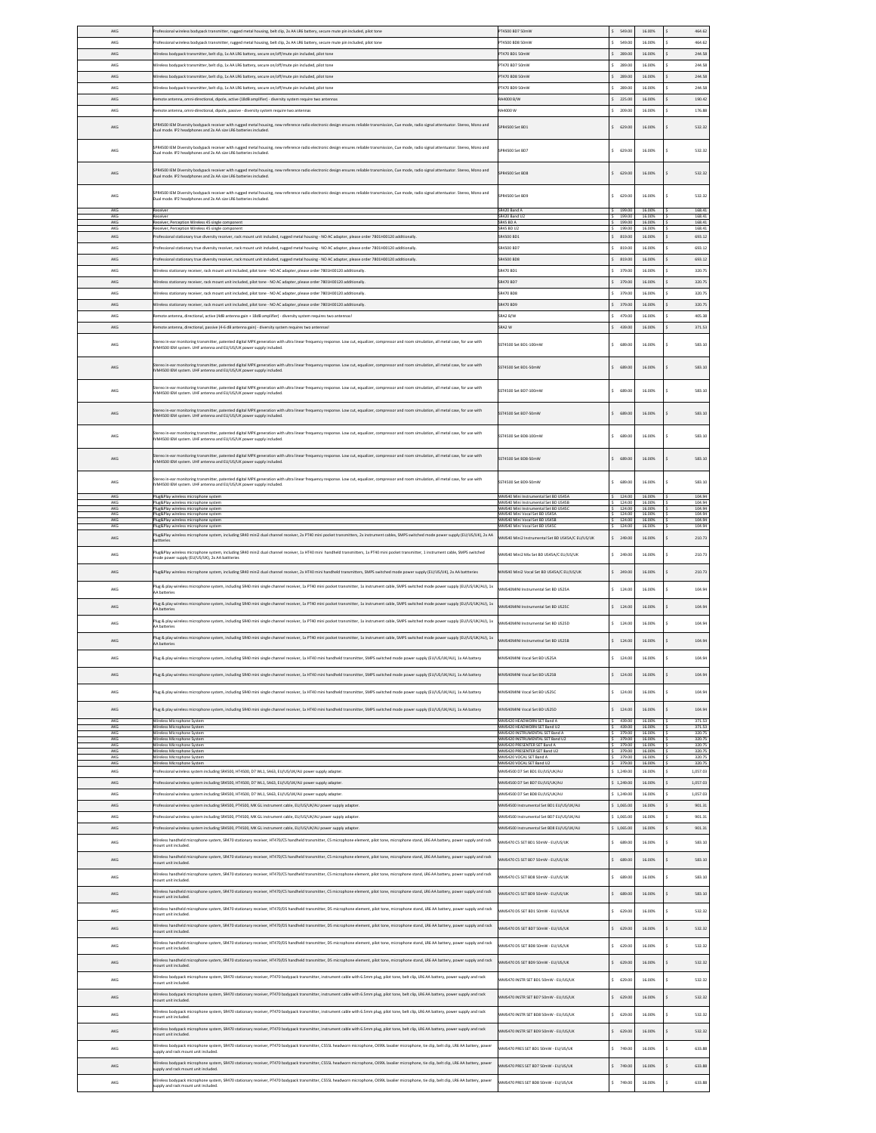| AKG        | Professional wireless bodypack transmitter, rugged metal housing, belt clip, 2x AA LR6 battery, secure mute pin included, pilot tone                                                                                                                                                                                                                                                                             | T4500 BD7 50mW                                                                | 549.00               | 16.00%           | 464.62           |
|------------|------------------------------------------------------------------------------------------------------------------------------------------------------------------------------------------------------------------------------------------------------------------------------------------------------------------------------------------------------------------------------------------------------------------|-------------------------------------------------------------------------------|----------------------|------------------|------------------|
| AKG        | rofessional wireless bodypack transmitter, rugged metal housing, belt clip, 2x AA LR6 battery, secure mute pin included, pilot tone                                                                                                                                                                                                                                                                              | PT4500 BD8 50mW                                                               | 549.00<br>¢.         | 16,00%           | 464.62           |
| AKG        | reless bodypack transmitter, belt clip, 1x AA LR6 battery, secure on/off/mute pin included, pilot tone                                                                                                                                                                                                                                                                                                           | T470 BD1 50mW                                                                 | 289.00               | 16.00%           | 244.58           |
|            |                                                                                                                                                                                                                                                                                                                                                                                                                  |                                                                               |                      |                  |                  |
| AKG        | Vireless bodypack transmitter, belt clip, 1x AA LR6 battery, secure on/off/mute pin included, pilot tone                                                                                                                                                                                                                                                                                                         | T470 BD7 50mW                                                                 | 289.00               | 16.00%           | 244.58           |
| AKG        | Wireless bodypack transmitter, belt clip, 1x AA LR6 battery, secure on/off/mute pin included, pilot tone                                                                                                                                                                                                                                                                                                         | PT470 BD8 50mW                                                                | 289.00               | 16.00%           | 244.58           |
| AKG        | ireless bodypack transmitter, belt clip. 1x AA LR6 battery, secure on/off/mute pin included, pilot tone                                                                                                                                                                                                                                                                                                          | PT470 BD9 50mW                                                                | \$289.00             | 16.00%           | 244.58           |
| AKG        | mote antenna, omni-directional, dipole, active (18dB amplifier) - diversity system require two antennas                                                                                                                                                                                                                                                                                                          | A4000 B/V                                                                     | \$225.00             | 16.00%           | 190.42           |
| AKG        | mote antenna, omni-directional, dipole, passive - diversity system require two antennas                                                                                                                                                                                                                                                                                                                          | 844000 W                                                                      | \$209.00             | 16.00%           | 176.88           |
| AKG        | PR4500 IEM Diversity bodypack receiver with rugged metal housing, new reference radio electronic design ensures reliable transmission, Cue mode, radio signal attentuator. Stereo, Mono and<br>ual mode. IP2 headphones and 2x AA size LR6 batteries included.                                                                                                                                                   | PR4500 Set BD1                                                                | \$629.00             | 16.00%           | 532 32           |
| AKG        | PR4500 IEM Diversity bodypack receiver with rugged metal housing, new reference radio electronic design ensures reliable transmission, Cue mode, radio signal attentuator. Stereo, Mono and<br>ual mode. IP2 headphones and 2x AA size LR6 batteries included.                                                                                                                                                   | PR4500 Set BD7                                                                | \$629.00             | 16,00%           | \$<br>532.32     |
| AKG        | PR4500 IEM Diversity bodypack receiver with rugged metal housing, new reference radio electronic design ensures reliable transmission, Cue mode, radio signal attentuator. Stereo, Mono and                                                                                                                                                                                                                      | <b>PRASOD Set RDR</b>                                                         | \$629.00             | 16,00%           | 532 32           |
|            | ual mode. IP2 headphones and 2x AA size LR6 batteries included.<br>PR4500 IEM Diversity bodypack receiver with rugged metal housing, new reference radio electronic design ensures reliable transmission, Cue mode, radio signal attentuator. Stereo, Mono and                                                                                                                                                   |                                                                               |                      |                  |                  |
| AKG        | Jual mode. IP2 headphones and 2x AA size LR6 batteries included.                                                                                                                                                                                                                                                                                                                                                 | R4500 Set BD9                                                                 | 629.00               | 16.00%           | 532.32           |
| AKG<br>AKG | reiver<br><b>Teluer</b>                                                                                                                                                                                                                                                                                                                                                                                          | R420 Band A<br>R420 Band U                                                    | 199.00<br>199.00     | 16.00%<br>16.00% | 168.41<br>168.41 |
| AKG        | ceiver, Perception Wireless 45 single component                                                                                                                                                                                                                                                                                                                                                                  | R45 BD A                                                                      | 199.00               | 16,00%           | 168.41           |
| AKG        | Receiver, Perception Wireless 45 single component                                                                                                                                                                                                                                                                                                                                                                | SR45 BD U2                                                                    | 199.00               | 16.00%           | 168.41           |
| AKG        | rofessional stationary true diversity receiver, rack mount unit included, rugged metal housing - NO AC adapter, please order 7801H00120 additionally                                                                                                                                                                                                                                                             | R4500 BD1                                                                     | \$19.00              | 16.00%           | 693.12           |
| AKG        | rofessional stationary true diversity receiver, rack mount unit included, rugged metal housing - NO AC adapter, please order 7801H00120 additionally.                                                                                                                                                                                                                                                            | R4500 BD7                                                                     | 819.00<br>¢.         | 16.00%           | 693.12           |
| AKG        | ofessional stationary true diversity receiver, rack mount unit included, rugged metal housing - NO AC adapter, please order 7801H00120 additionally.                                                                                                                                                                                                                                                             | R4500 BD8                                                                     | 819.00               | 16.00%           | 693.12           |
| AKG        | Vireless stationary receiver, rack mount unit included, pilot tone - NO AC adapter, please order 7801H00120 additionally.                                                                                                                                                                                                                                                                                        | R470 BD1                                                                      | 379.00               | 16.00%           | 320.75           |
| AKG        | Wireless stationary receiver, rack mount unit included, pilot tone - NO AC adapter, please order 7801H00120 additionally.                                                                                                                                                                                                                                                                                        | R470 BD7                                                                      | \$379.00             | 16.00%           | 320.75           |
|            |                                                                                                                                                                                                                                                                                                                                                                                                                  |                                                                               |                      |                  |                  |
| AKG        | Ireless stationary receiver, rack mount unit included, gilot tone - NO AC adapter, please order 7801H00120 additionally                                                                                                                                                                                                                                                                                          | R470 BDS                                                                      | \$379.00             | 16.00%           | 320.75           |
| AKG        | Vireless stationary receiver, rack mount unit included, pilot tone - NO AC adapter, please order 7801H00120 additionally.                                                                                                                                                                                                                                                                                        | R470 BDS                                                                      | \$379.00             | 16.00%           | 320.75           |
| AKG        | mote antenna, directional, active (4dB antenna gain + 18dB amplifier) - diversity system requires two antennas!                                                                                                                                                                                                                                                                                                  | SRA2 B/W                                                                      | \$ 479.00            | 16.00%           | 405.38           |
| AKG        | note antenna, directional, passive (4-6 dB antenna gain) - diversity system requires two antennas!                                                                                                                                                                                                                                                                                                               | RA2 W                                                                         | $5 - 439.00$         | 16.00%           | 371.53           |
|            |                                                                                                                                                                                                                                                                                                                                                                                                                  |                                                                               |                      |                  |                  |
| AKG        | reo in-ear monitoring transmitter, patented digital MPX generation with ultra linear frequency response. Low cut, equalizer, compressor and room simulation, all metal case, for use with<br>M4500 IEM system. UHF antenna and EU/US/UK power supply included.                                                                                                                                                   | SST4500 Set BD1-100mW                                                         | \$689.00             | 16,00%           | 583.10           |
| AKG        | reo in-ear monitoring transmitter, patented digital MPX generation with ultra linear frequency response. Low cut, equalizer, compressor and room simulation, all metal case, for use with<br>IVM4500 IEM system. UHF antenna and EU/US/UK power supply included.                                                                                                                                                 | ST4500 Set BD1-50mW                                                           | 689.00               | 16.00%           | 583.10           |
| AKG        | itereo in-ear monitoring transmitter, patented digital MPX generation with ultra linear frequency response. Low cut, equalizer, compressor and room simulation, all metal case, for use with<br>M4500 IEM system. UHF antenna and EU/US/UK power supply included.                                                                                                                                                | ST4500 Set BD7-100mW                                                          | \$689.00             | 16,00%           | 583.10<br>\$     |
| AKG        | ereo in-ear monitoring transmitter, patented digital MPX generation with ultra linear frequency response. Low cut, equalizer, compressor and room simulation, all metal case, for use with<br>M4500 IEM system. UHF antenna and EU/US/UK power supply included.                                                                                                                                                  | SST4500 Set BD7-50mW                                                          | \$689.00             | 16.00%           | 583.10           |
| AKG        | ereo in-ear monitoring transmitter, patented digital MPX generation with ultra linear frequency response. Low cut, equalizer, compressor and room simulation, all metal case, for use with<br>IVM4500 IEM system. UHF antenna and EU/US/UK power supply included.                                                                                                                                                | ST4500 Set BD8-100mW                                                          | 689.00               | 16.00%           | 583.10           |
| AKG        | itereo in-ear monitoring transmitter, patented digital MPX generation with ultra linear frequency response. Low cut, equalizer, compressor and room simulation, all metal case, for use with<br>M4500 IEM system. UHF antenna and EU/US/UK power supply included.                                                                                                                                                | ST4500 Set BD8-50mW                                                           | \$689.00             | 16.00%           | 583.10<br>ś      |
| AKG        | ereo in-ear monitoring transmitter, patented digital MPX generation with ultra linear frequency response. Low cut, equalizer, compressor and room simulation, all metal case, for use with                                                                                                                                                                                                                       | SST4500 Set BD9-50mW                                                          | \$689.00             | 16.00%           | 583.10           |
|            | VM4500 IEM system. UHF antenna and EU/US/UK power supply included.                                                                                                                                                                                                                                                                                                                                               |                                                                               |                      |                  |                  |
| AKG<br>AKG | Plug&Play wireless microphone system<br>lug&Play wireless microphone systen                                                                                                                                                                                                                                                                                                                                      | WMS40 Mini Instrumental Set BD US45/<br>VMS40 Mini Instrumental Set RD LIS4SE | 124.00<br>124.00     | 16.00%<br>16,00% | 104.94<br>104.94 |
| AKG        | lue&Plav wireless microphone system                                                                                                                                                                                                                                                                                                                                                                              | WMS40 Mini Instrumental Set BD US450                                          | 124.00               | 16,00%           | 104.94           |
| AKG<br>AKG | Plug&Play wireless microphone system<br>Plug&Play wireless microphone system                                                                                                                                                                                                                                                                                                                                     | WMS40 Mini Vocal Set BD US45A<br>WMS40 Mini Vocal Set BD US45B                | 124.00<br>124.00     | 16,00%<br>16.00% | 104.94<br>104.94 |
| AKC        | Plug&Play wireless microphone syste                                                                                                                                                                                                                                                                                                                                                                              | MS40 Mini Vocal Set BD US45                                                   | 124.00               | 16.00%           | 104.94           |
| AKG        | lug&Play wireless microphone system, including SR40 mini2 dual channel receiver, 2x PT40 mini pocket transmitters, 2x instrument cables, SMPS switched mode power supply (EU/US/UK), 2x AA<br>attteries                                                                                                                                                                                                          | WMS40 Mini2 Instrumental Set BD US4SA/C EU/US/UK                              | \$249.00             | 16.00%           | 210.73           |
|            |                                                                                                                                                                                                                                                                                                                                                                                                                  |                                                                               |                      |                  |                  |
| AKG        | ine system, including SR40 mini2 dual channel receiver, 1x HT40 mini handheld transmitters, 1x PT40 mini pocket transmitter, 1 instrument cable, SMPS switched<br>lug&Play wireless microp<br>ode power supply (EU/US/UK), 2x AA battteries                                                                                                                                                                      | WMS40 Mini2 Mix Set BD US45A/C EU/US/UK                                       | \$249.00             | 16.00%           | 210.73           |
|            |                                                                                                                                                                                                                                                                                                                                                                                                                  |                                                                               |                      |                  | Ś                |
| AKG        | lug&Play wireless microphone system, including SR40 mini2 dual channel receiver, 2x HT40 mini handheld transmitters, SMPS switched mode power supply (EU/US/UK), 2x AA battteries                                                                                                                                                                                                                                | WMS40 Mini2 Vocal Set BD US45A/C EU/US/UK                                     | \$249.00             | 16.00%           | 210.73           |
| AKG        | lug & play wireless microphone system, including SR40 mini single channel receiver, 1x PT40 mini pocket transmitter, 1x instrument cable, SMPS switched mode power supply (EU/US/UK/AU), 1x<br>AA batteries                                                                                                                                                                                                      | WMS40MINI Instrumental Set BD US25A                                           | \$ 124.00            | 16.00%           | ś<br>104.94      |
| AKG        | lug & play wireless microphone system, including SR40 mini single channel receiver, 1x PT40 mini pocket transmitter, 1x instrument cable, SMPS switched mode power supply (EU/US/UK/AU), 1x<br>A batteries                                                                                                                                                                                                       | WMS40MINI Instrumental Set BD US25C                                           | \$124.00             | 16.00%           | Ś<br>104.94      |
| AKG        | lug & play wireless microphone system, including SR40 mini single channel receiver, 1x PT40 mini pocket transmitter, 1x instrument cable, SMPS switched mode power supply (EU/US/UK/AU), 1x<br>AA batteries                                                                                                                                                                                                      | <b>NMS40MINI Instrumental Set BD US25D</b>                                    | \$124.00             | 16.00%           | ś<br>104.94      |
| AKG        | lug & play wireless microphone system, including SR40 mini single channel receiver, 1x PT40 mini pocket transmitter, 1x instrument cable, SMPS switched mode power supply (EU/US/UK/AU), 1x<br>AA batteries                                                                                                                                                                                                      | WMS40MINI Instrumetnal Set BD US25B                                           | \$124.00             | 16.00%           | 104.94           |
| AKG        | lug & play wireless microphone system, including SR40 mini single channel receiver, 1x HT40 mini handheld transmitter, SMPS switched mode power supply (EU/US/UK/AU), 1x AA battery                                                                                                                                                                                                                              | WMS40MINI Vocal Set BD US25A                                                  | $S = 124.00$         | 16.00%           | 104.94           |
| AKG<br>AKG | lug & play wireless microphone system, including SR40 mini single channel receiver, 1x HT40 mini handheld transmitter, SMPS switched mode power supply (EU/US/UK/AU), 1x AA battery<br>Hug & play wireless microphone system, including SR40 mini single channel receiver, 1x HT40 mini handheld transmitter, SMPS switched mode power supply (EU/US/UK/AU), 1x AA battery                                       | <b>NMS40MINI Vocal Set BD US25B</b><br>WMS40MINI Vocal Set BD US25C           | \$124.00<br>\$124.00 | 16.00%<br>16.00% | 104.94<br>104.94 |
|            |                                                                                                                                                                                                                                                                                                                                                                                                                  |                                                                               |                      |                  |                  |
| AKG        | lug & play wireless microphone system, including SR40 mini single channel receiver, 1x HT40 mini handheld transmitter, SMPS switched mode power supply (EU/US/UK/AU), 1x AA battery                                                                                                                                                                                                                              | WMS40MINI Vocal Set BD US25D                                                  | \$124.00             | 16.00%           | 104.94           |
| AKG<br>AKG | Mireless Microphone Syster<br>Wireless Microphone System                                                                                                                                                                                                                                                                                                                                                         | MMS420 HEADWORN SET Rand &<br>WMS420 HEADWORN SET Band U2                     | 439.00<br>439.00     | 16,00%<br>16,00% | 371.53<br>371.53 |
| AKG        | <b>Fireless Microphone System</b>                                                                                                                                                                                                                                                                                                                                                                                | WMS420 INSTRUMENTAL SET Band A                                                | 379.00               | 16,00%           | 320.75           |
| AKG<br>AKG | Wireless Microphone System<br>Areless Microphone Syster                                                                                                                                                                                                                                                                                                                                                          | WMS420 INSTRUMENTAL SET Band U2<br>WMS420 PRESENTER SET Band A                | 379.00<br>379.00     | 16.00%<br>16.00% | 320.75<br>320.75 |
| AKG<br>AKG | Mireless Microphone Syster<br>fireless Microphone Syste                                                                                                                                                                                                                                                                                                                                                          | VMS420 PRESENTER SET Band U2<br>WMS420 VOCAL SET Band A                       | 379.00<br>379.00     | 16.00%<br>16,00% | 320.75<br>320.75 |
| AKG        | Vireless Microphone System                                                                                                                                                                                                                                                                                                                                                                                       | WMS420 VOCAL SET Band U2                                                      | 379.00               | 16,00%           | 320.75           |
| AKG        | Professional wireless system including SR4500, HT4500, D7 WL1, SA63, EU/US/UK/AU power supply adapter                                                                                                                                                                                                                                                                                                            | WMS4500 D7 Set BD1 EU/US/UK/AU                                                | \$1.249.00           | 16.00%           | 1.057.03         |
| AKG        | ofessional wireless system including SR4500, HT4500, D7 WL1, SA63, EU/US/UK/AU power supply adapter                                                                                                                                                                                                                                                                                                              | VMS4500 D7 Set BD7 EU/US/UK/AU                                                | \$1,249.00           | 16.00%           | 1,057.03         |
| AKG        | rofessional wireless system including SR4500, HT4500, D7 WL1, SA63, EU/US/UK/AU power supply adapter.                                                                                                                                                                                                                                                                                                            | VMS4500 D7 Set BD8 EU/US/UK/AU                                                | \$1,249.00           | 16.00%           | 1,057.03         |
| AKG        | Professional wireless system including SR4500, PT4500, MK GL instrument cable, EU/US/UK/AU power supply adapter.                                                                                                                                                                                                                                                                                                 | WMS4500 Instrumental Set BD1 EU/US/UK/AU                                      | \$1,065.00           | 16.00%           | 901.31           |
| AKG        | rofessional wireless system including SR4500, PT4500, MK GL instrument cable, EU/US/UK/AU power supply adapter                                                                                                                                                                                                                                                                                                   | MMS4500 Instrumental Set BD7 EU/US/UK/AU                                      | \$1.065.00           | 16,00%           | 901.31           |
| AKG        | rofessional wireless system including SR4500, PT4500, MK GL instrument cable, EU/US/UK/AU power supply adapter.                                                                                                                                                                                                                                                                                                  | WMS4500 Instrumental Set BD8 EU/US/UK/AU                                      | \$1,065.00           | 16.00%           | 901.31           |
| AKG        | Wireless handheld microphone system, SR470 stationary receiver, HT470/C5 handheld transmitter, C5 microphone element, pilot tone, microphone stand, LR6 AA battery, power supply and rack<br>unt unit included.                                                                                                                                                                                                  | WMS470 CS SET BD1 50mW - EU/US/UK                                             | \$689.00             | 16,00%           | 583.10           |
| AKG        | Wireless handheld microphone system, SR470 stationary receiver, HT470/C5 handheld transmitter, C5 microphone element, pilot tone, microphone stand, LR6 AA battery, power supply and rack<br>unt unit included.                                                                                                                                                                                                  | WMS470 CS SET BD7 50mW - EU/US/UK                                             | \$689.00             | 16,00%           | 583.10           |
| AKG        | Wireless handheld microphone system, SR470 stationary receiver, HT470/C5 handheld transmitter, C5 microphone element, pilot tone, microphone stand, LR6 AA battery, power supply and rack<br>unt unit included.                                                                                                                                                                                                  | WMS470 CS SET BD8 50mW - EU/US/UK                                             | \$689.00             | 16,00%           | 583.10           |
| AKG        | Wireless handheld microphone system, SR470 stationary receiver, HT470/C5 handheld transmitter, C5 microphone element, pilot tone, microphone stand, LR6 AA battery, power supply and rack<br>unt unit included.<br>Wireless handheld microphone system, SR470 stationary receiver, HT470/D5 handheld transmitter, D5 microphone element, pilot tone, microphone stand, LR6 AA battery, power supply and rack     | WMS470 CS SET BD9 50mW - EU/US/UK                                             | \$689.00             | 16,00%           | 583.10           |
| AKG        | unt unit included.<br>Wireless handheld microphone system, SR470 stationary receiver, HT470/D5 handheld transmitter, D5 microphone element, pilot tone, microphone stand, LR6 AA battery, power supply and rack                                                                                                                                                                                                  | WMS470 DS SET BD1 50mW - EU/US/UK                                             | \$629.00             | 16,00%           | 532.32           |
| AKG<br>AKG | unt unit included.<br>Wireless handheld microphone system, SR470 stationary receiver, HT470/D5 handheld transmitter, D5 microphone element, pilot tone, microphone stand, LR6 AA battery, power supply and rack                                                                                                                                                                                                  | WMS470 DS SET BD7 50mW - EU/US/UK<br>WMS470 DS SET BD8 50mW - EU/US/UK        | \$629.00<br>\$629.00 | 16,00%<br>16,00% | 532.32<br>532.32 |
| AKG        | unt unit included.<br>Wireless handheld microphone system, SR470 stationary receiver, HT470/D5 handheld transmitter, D5 microphone element, pilot tone, microphone stand, LR6 AA battery, power supply and rack<br>unt unit included.                                                                                                                                                                            | WMS470 DS SET BD9 50mW - EU/US/UK                                             | \$629.00             | 16,00%           | 532.32           |
| AKG        | Wireless bodypack microphone system, SR470 stationary receiver, PT470 bodypack transmitter, instrument cable with 6.5mm plug, pilot tone, belt clip, LR6 AA battery, power supply and rack<br>unt unit included.                                                                                                                                                                                                 | WMS470 INSTR SET BD1 50mW - EU/US/UK                                          | \$629.00             | 16,00%           | 532.32           |
| AKG        | Wireless bodypack microphone system, SR470 stationary receiver, PT470 bodypack transmitter, instrument cable with 6.5mm plug, pilot tone, belt clip, LR6 AA battery, power supply and rack<br>unt unit included.                                                                                                                                                                                                 | WMS470 INSTR SET BD7 50mW - EU/US/UK                                          | \$629.00             | 16,00%           | 532.32           |
| AKG        | Wireless bodypack microphone system, SR470 stationary receiver, PT470 bodypack transmitter, instrument cable with 6.5mm plug, pilot tone, belt clip, LR6 AA battery, power supply and rack<br>unt unit included.                                                                                                                                                                                                 | WMS470 INSTR SET BD8 50mW - EU/US/UK                                          | \$629.00             | 16,00%           | 532.32           |
|            |                                                                                                                                                                                                                                                                                                                                                                                                                  |                                                                               |                      |                  |                  |
| AKG        | Wireless bodypack microphone system, SR470 stationary receiver, PT470 bodypack transmitter, instrument cable with 6.5mm plug, pilot tone, belt clip, LR6 AA battery, power supply and rack<br>unt unit included.<br>Wireless bodypack microphone system, SR470 stationary receiver, PT470 bodypack transmitter, C555L headworn microphone, CK99L lavalier microphone, tie clip, belt clip, LR6 AA battery, power | WMS470 INSTR SET BD9 50mW - EU/US/UK                                          | \$629.00             | 16,00%           | 532.32           |
| AKG        | pply and rack mount unit included.<br>Wireless bodypack microphone system, SR470 stationary receiver, PT470 bodypack transmitter, C555L headworn microphone, CK99L lavalier microphone, tie clip, belt clip, LR6 AA battery, power                                                                                                                                                                               | WMS470 PRES SET BD1 50mW - EU/US/UK                                           | 749.00               | 16,00%           | 633.88           |
| AKG        | upply and rack mount unit included.<br>Wireless bodypack microphone system, SR470 stationary receiver, PT470 bodypack transmitter, C555L headworn microphone, CK99L lavalier microphone, tie clip, belt clip, LR6 AA battery, power                                                                                                                                                                              | WMS470 PRES SET BD7 50mW - EU/US/UK                                           | 749.00               | 16,00%           | 633.88           |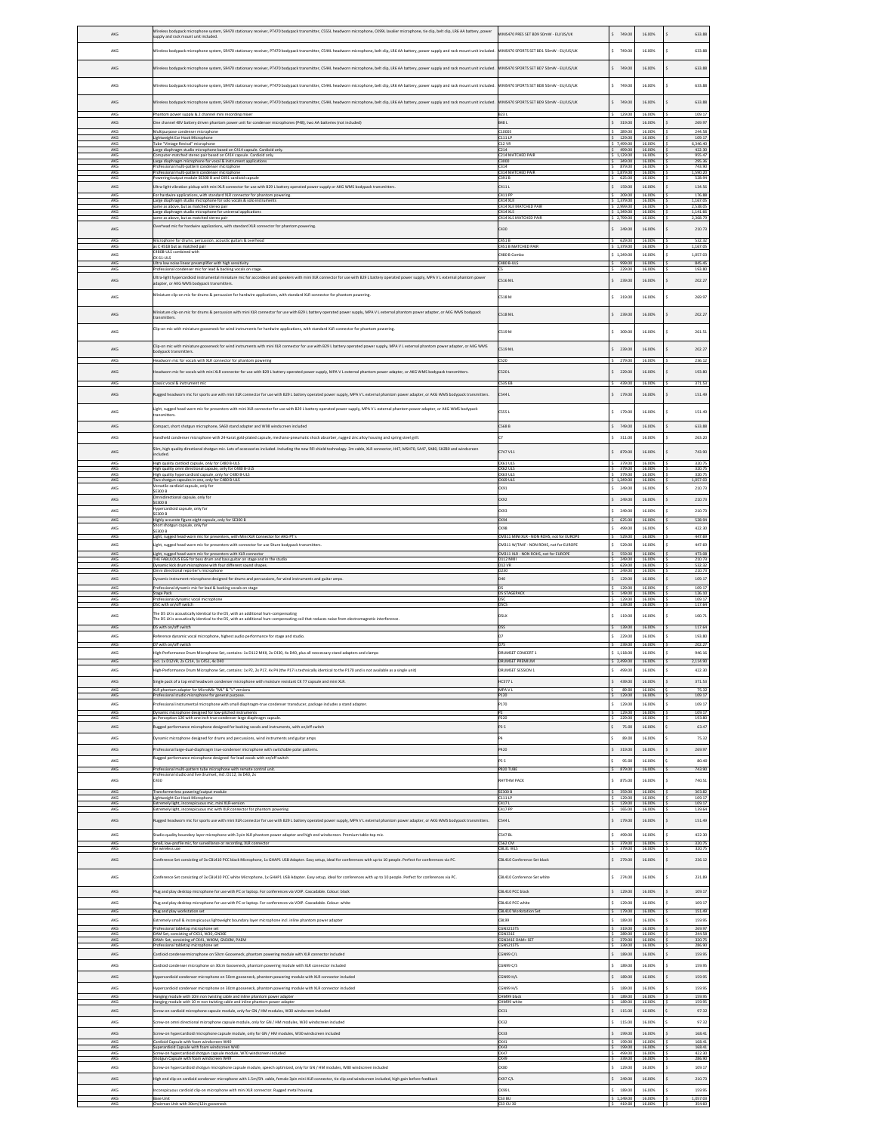| AKG               | Treless bodypack microphone system, SR470 stationary receiver, PT470 bodypack transmitter, CS55L headworn microphone, CK99L lavalier microphone, tie clip, belt clip, LR6 AA battery, power<br>upply and rack mount unit included.     | WMS470 PRES SET BD9 50mW - EU/US/UK                                             | \$749.00                       | 16.00%                     | 633.88                       |
|-------------------|----------------------------------------------------------------------------------------------------------------------------------------------------------------------------------------------------------------------------------------|---------------------------------------------------------------------------------|--------------------------------|----------------------------|------------------------------|
| AKG               | Vireless bodypack microphone system, SR470 stationary receiver, PT470 bodypack transmitter, CS44L headworn microphone, belt clip, LR6 AA battery, power supply and rack mount unit included.                                           | WMS470 SPORTS SET BD1 50mW - EU/US/UK                                           | \$749.00                       | 16.00%                     | 633.88                       |
| AKG               |                                                                                                                                                                                                                                        | WMS470 SPORTS SET BD7 50mW - EU/US/UK                                           | \$749.00                       | 16.00%                     | 633.88                       |
|                   | Wireless bodypack microphone system, SR470 stationary receiver, PT470 bodypack transmitter, CS44L headworn microphone, belt clip, LR6 AA battery, power supply and rack mount unit included.                                           |                                                                                 |                                |                            |                              |
| AKG               | Wireless bodypack microphone system, SR470 stationary receiver, PT470 bodypack transmitter, CS44L headworn microphone, belt clip, LR6 AA battery, power supply and rack mount unit included.                                           | WMS470 SPORTS SET BD8 50mW - EU/US/UK                                           | \$749.00                       | 16.00%                     | 633.88                       |
| AKG               | Vireless bodypack microphone system, SR470 stationary receiver, PT470 bodypack transmitter, CS44L headworn microphone, belt clip, LR6 AA battery, power supply and rack mount unit included.                                           | WMS470 SPORTS SET BD9 50mW - EU/US/UK                                           | \$749.00                       | 16.00%                     | 633.88                       |
| AKG<br>AKG        | Phantom power supply & 2 channel mini recording mixer<br>One channel 48V battery driven phantom power unit for condenser microphones (P48), two AA batteries (not included)                                                            | B23L<br><b>B48L</b>                                                             | \$129.00<br>\$319.00           | 16,00%<br>16,00%           | 109.17<br>269.97             |
| AKG               | Multipurpose condenser microphone                                                                                                                                                                                                      | C1000S                                                                          | 289.00                         | 16,00%                     | 244.58                       |
| AKG<br>AKG<br>AKG | <b>Lightweight Ear Hook Microphone</b><br>Tube "Vintage Revival" microphone<br>Large diaphragm studio microphone based on C414 capsule. Cardioid only.                                                                                 | C1111P<br><b>C12 VR</b><br>C214                                                 | 129.00<br>\$7,499.00<br>499.00 | 16,00%<br>16.00%<br>16.00% | 109.17<br>6,346.40<br>422.30 |
| AKC<br>AKG        | mputer-matched stereo pair based on C414 capsule. Cardioid only.<br>Large diaphragm microphone for vocal & instrument applications                                                                                                     | C214 MATCHED PAIR<br>3000                                                       | 1,129.00<br>349.00             | 16.009<br>16.00%           | 955.47<br>295.36             |
| AKG<br>AKG        | Professional multi-pattern condenser microphone<br>Professional multi-pattern condenser microphone                                                                                                                                     | C314<br><b>C314 MATCHED PAIR</b>                                                | 879.00<br>1,879.00             | 16.00%<br>16,00%           | 743.90<br>1.590.20           |
| AKG<br>AKG        | Powering/output module SE300 B and CK91 cardioid capsule<br>Jitra-light vibration pickup with mini XLR connector for use with B29 L battery operated power supply or AKG WMS bodypack transmitters.                                    | C391 B<br>C411 L                                                                | 625.00<br>\$ 159.00            | 16.00%<br>16.00%           | 528.94<br>134.56             |
| AKG<br>AKG        | For hardwire applications, with standard XLR connector for phantom powering<br>arge diaphragm studio microphone for solo vocals & solo instruments                                                                                     | C411 PP<br><b>C414 XL</b>                                                       | 209.00<br>\$1,379.00           | 16.00%<br>16.00%           | 176.88<br>1,167.05           |
| AKG<br>AKG        | me as above, but as matched stereo pair<br>Large diaphragm studio microphone for universal applications<br>ame as above, but as matched stereo pair                                                                                    | C414 XLII MATCHED PAIR<br>C414 XLS                                              | 2.999.00<br>\$1,349.00         | 16,00%<br>16.00%           | 2.538.05<br>1,141.66         |
| AKG<br>$AKG$      | verhead mic for hardwire applications, with standard XLR connector for phantom powering.                                                                                                                                               | <b>C414 XLS MATCHED PAIR</b><br>C430                                            | 2,799.00<br>\$249.00           | 16.00%<br>16.00%           | 2,368.79<br>210.73           |
| AKG               | Microphone for drums, percussion, acoustic guitars & overhead                                                                                                                                                                          | C451B                                                                           | \$629.00                       | 16,00%                     | 532.32                       |
| AK<br>AKG         | as C 451B but as matched pair<br>480B-ULS combined with<br>CK 61-ULS                                                                                                                                                                   | 151 B N<br>480 B Combo                                                          | 5 1,249.00                     | 16.00%                     | 1,167.05<br>1,057.03         |
| AKG<br>AK0        | Ultra low noise linear preamplifier with high sensitivity<br>rofessional condenser mic for lead & backing vocals on stage                                                                                                              | 480 B-UL                                                                        | 999.00<br>229.0                | 16.00%<br>16,009           | 845.45<br>193.80             |
| AKG               | Ultra-light hypercardioid instrumental miniature mic for accordeon and speakers with mini XLR connector for use with B29 L battery operated power supply, MPA V L external phantom power<br>adapter, or AKG WMS bodypack transmitters. | <b>S16 ML</b>                                                                   | \$ 239.00                      | 16.00%                     | 202.27<br>\$                 |
| AKG               | Miniature clip-on mic for drums & percussion for hardwire applications, with standard XLR connector for phantom powering.                                                                                                              | 518 M                                                                           | \$319.00                       | 16.00%                     | 269.97<br>ś                  |
|                   |                                                                                                                                                                                                                                        |                                                                                 |                                |                            |                              |
| AKG               | Miniature clip-on mic for drums & percussion with mini XLR connector for use with B29 L battery operated power supply, MPA V L external phantom power adapter, or AKG WMS bodypack<br>ransmitters.                                     | <b>S18 ML</b>                                                                   | \$ 239.00                      | 16.00%                     | 202.27<br>\$                 |
| AKG               | Clip-on mic with miniature gooseneck for wind instruments for hardwire applications, with standard XLR connector for phantom powering.                                                                                                 | 519 M                                                                           | \$309.00                       | 16.00%                     | 261.51<br>Ś                  |
| AKG               | Clip-on mic with miniature gooseneck for wind instruments with mini XLR connector for use with B29 L battery operated power supply, MPA V L external phantom power adapter, or AKG WMS                                                 | <b>S19 ML</b>                                                                   | \$ 239.00                      | 16.00%                     | 202.27<br>ś                  |
| AKG               | odypack transmitters.<br>Headworn mic for vocals with XLR connector for phantom powering                                                                                                                                               | CS20                                                                            | \$279.00                       | 16.00%                     | 236.12                       |
| AKG               | leadworn mic for vocals with mini XLR connector for use with B29 L battery operated power supply, MPA V L external phantom power adapter, or AKG WMS bodypack transmitters                                                             | C520 L                                                                          | \$229.00                       | 16,00%                     | 193.80                       |
| AK0               | ssic vocal & instru                                                                                                                                                                                                                    | i35 El                                                                          | 439.00                         | 16.009                     | 371.53                       |
| AKG               | lugged headworn mic for sports use with mini XLR connector for use with B29 L battery operated power supply, MPA V L external phantom power adapter, or AKG WMS bodypack transmitters.                                                 | <b>S44L</b>                                                                     | \$179.00                       | 16.00%                     | Ś<br>151.49                  |
| AKG               | Light, rugged head-worn mic for presenters with mini XLR connector for use with B29 L battery operated power supply, MPA V L external phantom power adapter, or AKG WMS bodypack<br>ansmitters.                                        | <b>ISSSL</b>                                                                    | \$179.00                       | 16.00%                     | Ś<br>151.49                  |
| AKG               | mpact, short shotgun microphone, SA60 stand adapter and W98 windscreen included                                                                                                                                                        | :568 B                                                                          | \$749.00                       | 16.00%                     | 633.88                       |
| AKG               | ndheld condenser microphone with 24-karat gold-plated capsule, mechano-pneumatic shock absorber, rugged zinc alloy housing and spring steel grill                                                                                      |                                                                                 | 311.00                         | 16.00%                     | 263.20                       |
| AKG               | Slim, high quality directional shotgun mic. Lots of accessories included. Including the new RFI shield technology. 3m cable, XLR connector, H47, MSH70, SA47, SA80, SHZ80 and windscreen<br>cluded.                                    | 747 V11                                                                         | \$379.00                       | 16.00%                     | 743.90                       |
| AKO<br>AKG        | High quality cardioid capsule, only for C480 B-UL<br>High quality omni directional capsule, only for C480 B-ULS                                                                                                                        | CK61 U<br>CK62 UL                                                               | 379.00<br>379.00               | 16.001<br>16.00%           | 320.75<br>320.75             |
| AKG<br>AKG        | High quality hypercardioid capsule, only for C480 B-ULS<br>Two shotgun capsules in one, only for C480 B-ULS<br>lersatile cardioid capsule, only for                                                                                    | CK63 ULS<br>CK69 ULS                                                            | 379.00<br>\$1,249.00           | 16.00%<br>16.00%           | 320.75<br>1,057.03           |
| AKG               | <b>SE300 B</b><br>inidirectional capsule, only for                                                                                                                                                                                     | K91                                                                             | 249.00                         | 16.00%                     | 210.73                       |
| AKG<br>AKG        | <b>SE300 B</b><br>Hypercardioid capsule, only for                                                                                                                                                                                      | CK92<br>K93                                                                     | \$249.00<br>\$249.00           | 16.00%<br>16,00%           | 210.73<br>210.73             |
| AKG               | E300 B<br>Highly accurate figure-eight capsule, only for SE300 B<br>nort shotgun capsule, only for                                                                                                                                     | CK94                                                                            | 625.00                         | 16.00%                     | 528.94                       |
| AKG<br>AKG        | SE300 B<br>lght, rugged head-worn mic for presenters, with Mini XLR Connector for AKG PT's                                                                                                                                             | <b>CK98</b><br>CM311 MINI XLR - NON ROHS, not for EUROP                         | $\leq$<br>499.00<br>529.00     | 16,00%<br>16.00%           | 422 30<br>447.69             |
| AKG<br>AKG        | Light, rugged head-worn mic for presenters with connector for use Shure bodypack transmitters.<br>Light, rugged head-worn mic for presenters with XLR connector                                                                        | CM311 W/TA4F - NON ROHS, not for EUROPE<br>CM311 XLR - NON ROHS, not for EUROPI | \$529.00<br>\$559.00           | 16.00%<br>16.00%           | 447.69<br>473.08             |
| AKC               | THE FABULOUS EGG for bass drum and bass guitar on stage and in the studio                                                                                                                                                              | D112 MK                                                                         | 249.00                         | 16.00%                     | 210.73                       |
| AKG               | ine with four different sound shape<br>mamic kick drum mic                                                                                                                                                                             | 12 VI                                                                           | 629.00                         | 16,009                     | 53232                        |
| AKG               | Omni directional reporter's microphone                                                                                                                                                                                                 | D230<br>MO                                                                      | 249.00                         | 16.00%                     | 210.73                       |
| AKG<br>AKG        | I ynamic instrument microphone designed for drums and percussions, for wind instruments and guitar amps<br>Professional dynamic mic for lead & backing vocals on stage                                                                 |                                                                                 | 129.00<br>129.00               | 16.00%<br>16.00%           | 109.17<br>109.17             |
| AKG<br>AKG<br>AK  | Stage Pack<br>rofessional dynamic vocal microphone<br>DSC with on/off switc                                                                                                                                                            | <b>35 STAGEPAC</b>                                                              | 149.00<br>129.00<br>139.00     | 16.00%<br>16,00%<br>16.0   | 126.10<br>109.17<br>117.64   |
| AKG               | The DS LX is acoustically identical to the DS, with an additional hum-compensating                                                                                                                                                     | <b>DSLX</b>                                                                     | \$119.00                       | 16.00%                     | 100.71                       |
| AKG               | The DS LX is acoustically identical to the DS, with an additional hum-compensating coil that reduces noise from electromagnetic interfer<br>05 with on/off switch                                                                      |                                                                                 | 139.00                         | 16.00%                     | 117.64                       |
| AKG<br>AKG        | leference dynamic vocal microphone, highest audio performance for stage and studio.<br>D7 with on/off switch                                                                                                                           |                                                                                 | ¢<br>229.00<br>239.00          | 16,00%<br>16,00%           | 193.80<br>202.27             |
| AKG<br>AKG        | igh-Performance Drum Microphone Set, contains: 1x D112 MKII, 2x C430, 4x D40, plus all neccessary stand adapters and clamp<br>1 1y D12VR 2y C214 1y C451 4y D40                                                                        | DRUMSET CONCERT 1                                                               | \$1.118.00<br>2,499.00         | 16.00%<br>16,00%           | 946.16<br>2,114.90           |
| AKG               | High-Performance Drum Microphone Set, contains: 1x P2, 2x P17, 4x P4 (the P17 is technically identical to the P170 and is not available as a single unit)                                                                              | DRUMSET SESSION 1                                                               | 499.00<br>¢                    | 16,00%                     | 422.30                       |
| AKG               | Single pack of a top end headworn condenser microphone with moisture resistant CK 77 capsule and mini XLR.                                                                                                                             | HC577L                                                                          | \$ 439.00                      | 16.00%                     | 371.53                       |
| AKG<br>AKG        | XLR phantom adapter for MicroMic "ML" & "L" versions<br>rofessional studio microphone for general purpose                                                                                                                              | MPA V I<br>P120                                                                 | 89.00<br>129.00                | 16.00%<br>16,00%           | 75.32<br>109.17              |
| AKG<br>AKG        | Professional instrumental microphone with small diaphragm-true condenser transducer, package includes a stand adapter.<br>Dynamic microphone designed for low-pitched instruments                                                      | P170                                                                            | \$129.00<br>129.00             | 16.00%<br>16.00%           | 109.17<br>109.17             |
| AKG<br>AKG        | as Perception 120 with one inch true condenser large diaphragm capsule<br>ugged performance microphone designed for backing vocals and instruments, with on/off switch                                                                 | P220<br>3 S                                                                     | 229.00<br>75.00                | 16.00%<br>16.00%           | 193.80<br>63.47              |
| AKG               | Jynamic microphone designed for drums and percussions, wind instruments and guitar amps                                                                                                                                                | P4                                                                              | 89.00                          | 16.00%                     | 75.32                        |
| AKG               | Professional large-dual-diaphragm true-condenser microphone with switchable polar patterns.                                                                                                                                            | P420                                                                            | \$319.00                       | 16.00%                     | 269.97                       |
| AKG<br>AKG        | lugged performance microphone designed for lead vocals with on/off switch<br>Professional multi-pattern tube microphone with remote control uni                                                                                        | as s<br><b>P820 TUBI</b>                                                        | 95.00<br>879.00                | 16.00%<br>16.00%           | 80.40<br>743.90              |
| $\mathsf{AKG}$    | Professional studio and live drumset, incl. D112, 3x D40, 2x<br>1430                                                                                                                                                                   | RHYTHM PACK                                                                     | \$375.00                       | 16.00%                     | 740.51                       |
| AKG<br>AKG        | Transformerless powering/output module<br>Lightweight Ear Hook Microphone                                                                                                                                                              | <b>SE300 B</b><br>C111 LP                                                       | 359.00<br>129.00               | 16.00%<br>16.00%           | 303.82<br>109.17             |
| AKG<br>AKG        | Extremely light, inconspicuous mic, mini XLR-version<br>Extremely light, inconspicuous mic with XLR connector for phantom powering                                                                                                     | C417L<br>C417 PP                                                                | 129.00<br>\$165.00             | 16,00%<br>16.00%           | 109.17<br>139.64             |
| AKG               | gged headworn mic for sports use with mini XLR connector for use with B29 L battery operated power supply, MPA V L external phantom power adapter, or AKG WMS bodypack transmitters                                                    | C544 L                                                                          | \$179.00                       | 16.00%                     | 151.49                       |
| AKG               | Studio quality boundary layer microphone with 3 pin XLR phantom power adapter and high end windscreen. Premium table-top mic.                                                                                                          | <b>C547 BL</b>                                                                  | \$499.00                       | 16.00%                     | 422.30                       |
| AKG<br>AKC        | Small, low-profile mic, for surveillance or recording, XLR connector<br>or wireless us                                                                                                                                                 | C562 CM<br>CBL31 WL                                                             | 379.00<br>379.00               | 16.00%<br>16.00%           | 320.75<br>320.75             |
| $AKG$             | Conference Set consisting of 3x CBL410 PCC black Microphone, 1x GHAP1 USB Adapter. Easy setup, ideal for conferences with up to 10 people. Perfect for conferences via PC.                                                             | BL410 Conference Set black                                                      | $5 - 279.00$                   | 16.00%                     | 236.12                       |
| $\mathsf{AKG}$    | onference Set consisting of 3x CBL410 PCC white Microphone, 1x GHAP1 USB Adapter. Easy setup, ideal for conferences with up to 10 people. Perfect for conferences via PC.                                                              | BL410 Conference Set white                                                      | \$274.00                       | 16.00%                     | 231.89                       |
| AKG               | Hug and play desktop microphone for use with PC or laptop. For conferences via VOIP. Cascadable. Colour: black                                                                                                                         | CBL410 PCC black                                                                | \$129.00                       | 16.00%                     | 109.17                       |
| AKG               | fug and play desktop microphone for use with PC or laptop. For conferences via VOIP. Cascadable. Colour: white                                                                                                                         | CBL410 PCC white                                                                | \$129.00                       | 16.00%                     | 109.17                       |
| AKG<br>AKG        | Plug and play workstation se                                                                                                                                                                                                           | CBL410 Workstation S<br><b>BL99</b>                                             | 179.00<br>189.00               | 16.00%<br>16.00%           | 151.49<br>159.95             |
| AKG<br>AKO        | ixtremely small & inconspicuous lightweight boundary layer microphone incl. inline phantom power adapter<br>rofessional tabletop microphone set<br>AM Set, consisting of CK31, W30, GN30E                                              | CGN321STS<br>GN331                                                              | 319.00<br>289 O                | 16.00%<br>16.009           | 269.97<br>244.58             |
| AKG<br>AKO        | DAM+ Set, consisting of CK41, W40M, GN30M, PAEM                                                                                                                                                                                        | CGN341E DAM+ SET                                                                | \$379.00<br>339.00             | 16.00%<br>16.00%           | 320.75<br>286.90             |
| AKG               | ardioid condensermicrophone on 50cm Gooseneck, phantom powering module with XLR connector included                                                                                                                                     | GN99 C/L                                                                        | \$189.00                       | 16.00%                     | 159.95                       |
| AKG               | Cardioid condenser microphone on 30cm Gooseneck, phantom powering module with XLR connector included                                                                                                                                   | CGN99 C/S                                                                       | \$189.00                       | 16.00%                     | 159.95                       |
| AKG<br>AKG        | Hypercardioid condenser microphone on 50cm gooseneck, phantom powering module with XLR connector included                                                                                                                              | CGN99 H/L<br>CGN99 H/S                                                          | \$189.00<br>189.00             | 16.00%<br>16,00%           | 159.95<br>159.95             |
| AKG               | ypercardioid condenser microphone on 30cm gooseneck, phantom powering module with XLR connector included<br>Hanging module with 10m non twisting cable and inline phantom power adapter                                                | CHM99 blac                                                                      | 189.00                         | 16,00%                     | 159.95                       |
| AKG<br>AKG        | Hanging module with 10 m non twisting cable and inline phantom power adapter<br>Screw-on cardioid microphone capsule module, only for GN / HM modules, W30 windscreen included                                                         | CHM99 white<br>CK31                                                             | 189.00<br>\$115.00             | 16.00%<br>16.00%           | 159.95<br>97.32              |
| AKG               | icrew-on omni directional microphone capsule module, only for GN / HM modules, W30 windscreen included                                                                                                                                 | CK32                                                                            | \$115.00                       | 16.00%                     | 97.32                        |
| AKG               | icrew-on hypercardioid microphone capsule module, only for GN / HM modules, W30 windscreen included                                                                                                                                    | CK33                                                                            | \$199.00                       | 16,00%                     | 168.41                       |
| AKG<br>AKG<br>AKC | Cardioid Capsule with foam windscreen W40<br>oerardioid Capsule with foam windscreen W40<br>old shotgun capsule module, W70 windscreen included<br>Screw-on hypercardi                                                                 | CK41<br>CK43<br>CK47                                                            | 199.00<br>199.00<br>499.00     | 16.00%<br>16,00%<br>16.00% | 168.41<br>168.41<br>422.30   |
| AKG<br>AKG        | Shotgun Capsule with foam windscreen W49<br>Screw-on hypercardioid shotgun microphone capsule module, speech optimized, only for GN / HM modules, W80 windscreen included                                                              | CK49<br>CK80                                                                    | 339.00<br>129.00<br>¢          | 16.00%<br>16,00%           | 286.90<br>109.17             |
| $\mathsf{AKG}$    | ligh end clip on cardioid condenser microphone with 1.5m/5ft. cable, female 3pin mini-XLR connector, tie clip and windscreen included, high gain before feedback                                                                       | K97 C/L                                                                         | \$249.00                       | 16.00%                     | 210.73                       |
| AKG               | aconspicuous cardioid clip-on microphone with mini XLR connector. Rugged metal housing.                                                                                                                                                | CK99 L                                                                          | 189.00<br>\$1,249.00           | 16.00%                     | 159.95<br>1,057.03           |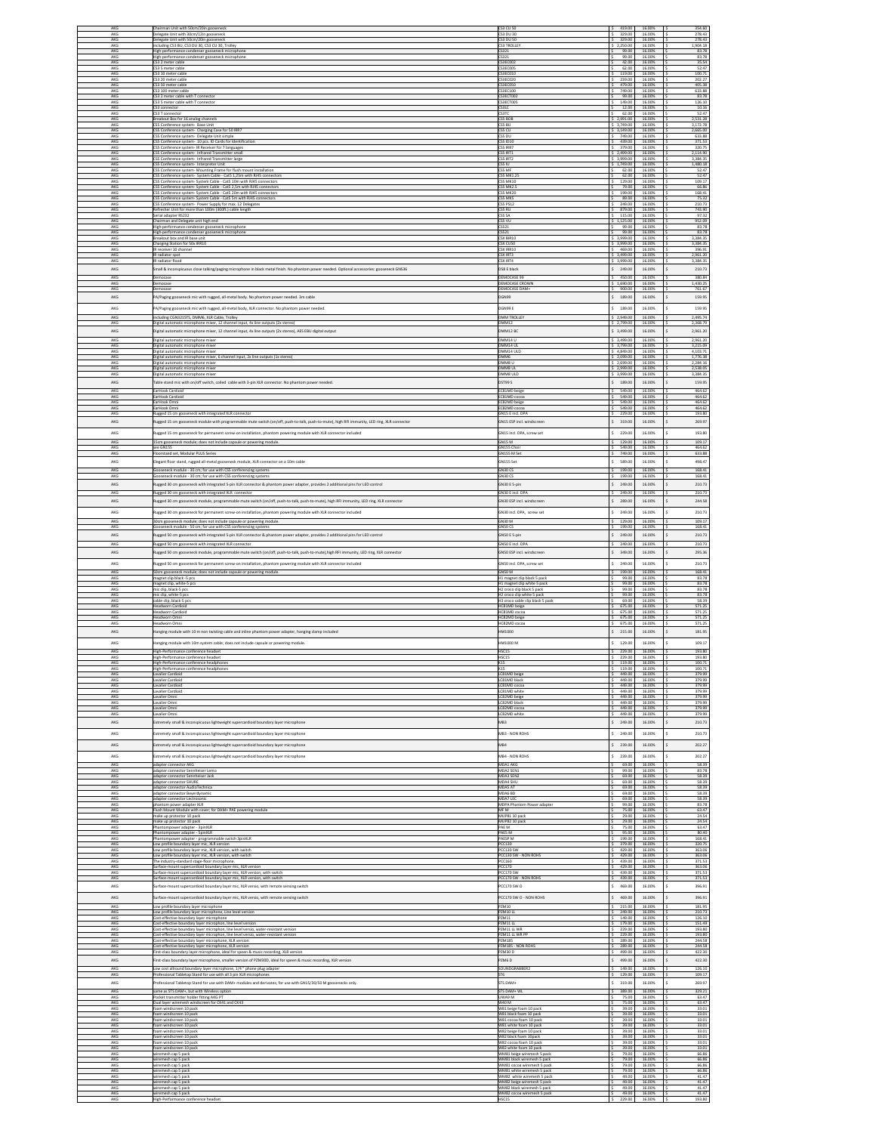| AKG            | Chairman Unit with 50cm/20in gooseneck                                                                                                       | CS3 CU 50                                                 | 419.00           | 16.00%           | 354.60                 |
|----------------|----------------------------------------------------------------------------------------------------------------------------------------------|-----------------------------------------------------------|------------------|------------------|------------------------|
| AKG            | Delegate Unit with 30cm/12in gooseneck                                                                                                       | S3 DU 30                                                  | 329.00           | 16,009           | 278.43                 |
| AKG            | Delegate Unit with 50cm/20in gooseneck                                                                                                       | CS3 DU 50                                                 | 329.00           | 16.00%           | 278.43                 |
| AKG            | ncluding CS3 BU, CS3 DU 30, CS3 CU 30, Trolley                                                                                               | <b>S3 TROLL</b>                                           | 2,250.00         | 16.00%           | 1,904.18               |
| AKG            |                                                                                                                                              | 5321                                                      | 99.00            | 16,00%           | 83.78                  |
| AKG            | ligh-performance condenser gooseneck microphone<br>High-performance condenser gooseneck microphone                                           | <b>S321</b>                                               | 99.00            | 16.00%           | 83.78                  |
| AKG            | CS3 2 meter cable                                                                                                                            | CS3EC002                                                  | 42.00            | 16.00%           | 35.54                  |
| AKG            | S3 5 meter cable                                                                                                                             | S3EC005                                                   | 62.00            | 16,00%           | 52.47                  |
| AKG            | CS3 10 meter cable                                                                                                                           | CS3EC010                                                  | 119.00           | 16.00%           | 100.71                 |
| AKG            | CS3 20 meter cable                                                                                                                           | S3EC020                                                   | 239.00           | 16,00%           | 202 27                 |
| AKG            | CS3 50 meter cable                                                                                                                           | CS3EC050                                                  | 479.00           | 16.00%           | 405.38                 |
| AKG            | CS3 100 meter cable                                                                                                                          | CS3EC100                                                  | 749.00           | 16.00%           | 633.88                 |
| AKG            | CS3 2 meter cable with T connecto                                                                                                            | S3ECT00                                                   | 99.00            | 16,00%           | 83.78                  |
| AKG            | CS3 5 meter cable with T connector                                                                                                           | CS3ECT005                                                 | 149.00           | 16.00%           | 126.10                 |
| AKG            | CS3 connector                                                                                                                                | CS3LC                                                     | 12.00            | 16.00%           | 10.16                  |
| AKG            | S3 T connecto                                                                                                                                | S3TC                                                      | 62.00            | 16,009           | 52.4                   |
| AKG            | Breakout Box for 16 analog channels                                                                                                          | CSS BOB                                                   | 2,991.00         | 16.00%           | 2,531.28               |
| AKG            | SS Conference system- Base Unit                                                                                                              | SS BU                                                     | 3,749.00         | 16.00%           | 3,172.78               |
| AKG            | CSS Conference system- Charging Case for 50 IRR7                                                                                             | CSS CU                                                    | 3,149.00         | 16,003           | 2,665.00               |
| AKG<br>AKG     | SS Conference system- Delegate Unit simple                                                                                                   | SS DU<br>SS ID10                                          | 749.00<br>439.00 | 16.00%<br>16.00% | 633.88                 |
| AKG            | CSS Conference system- 10 pcs. ID Cards for Identification<br>CSS Conference system- IR Receiver for 7 languages                             | SS IRR7                                                   | 379.00           | 16.00%           | 371.53<br>320.75       |
| AKG            | CSS Conference system- Infrared Transmitter small                                                                                            | ESS IRT1                                                  | 2,499.00         | 16.00%           | 2,114.90               |
| AKG            | CSS Conference system- Infrared Transmitter large                                                                                            | SS IRT2                                                   | 3,999.00         | 16,00%           | 3,384.35               |
| AKG            | CSS Conference system- Interpreter Unit                                                                                                      | CSS IU                                                    | 1,749.00         | 16.00%           | 1,480.18               |
| AKG            | CSS Conference system- Mounting Frame for flush mount installation                                                                           | SS MF                                                     | 62.00            | 16.00%           | 52.47                  |
| AKG            | SS Conference system- System Cable - CatS 1,25m with RJ45 connecto                                                                           | SS MK1.2                                                  | 62.00            | 16,00%           | 52.47                  |
| AKG            | CSS Conference system- System Cable - CatS 10m with RJ45 connectors                                                                          | CSS MK10                                                  | 129.00           | 16.00%           | 109.17                 |
| AKG            | CSS Conference system- System Cable - CatS 2,5m with RJ45 connectors                                                                         | SS MK2                                                    | 79.00            | 16.00%           | 66.86                  |
| AKG            | S5 Conference system- System Cable - Cat5 20m with RJ45 connectors                                                                           | <b>SS MK20</b>                                            | 199.00           | 16,00%           | 168.41                 |
| AKG            | CSS Conference system- System Cable - CatS 5m with RJ45 connectors                                                                           | CSS MKS                                                   | 89.00            | 16.00%           | 75.32                  |
| AKG            | CSS Conference system- Power Supply for max. 12 Delegates                                                                                    | SS PS12                                                   | 249.00           | 16.00%           | 210.73                 |
| AKG            | efresher Unit for more than 100m (300ft.) cable length                                                                                       | SS RU                                                     | 879.00           | 16,00%           | 743.90                 |
| AKG            | Serial adapter RS232                                                                                                                         | SS S                                                      | 115.00           | 16.009           | 97.32                  |
| AKG            | Chairman and Delegate unit high end                                                                                                          | SS VU                                                     | 1,125.00         | 16.00%           | 952.09                 |
| AKG            | High-performance condenser gooseneck microphone                                                                                              | SS21                                                      | 99.00            | 16.00%           | 83.78                  |
| AKG            | High-performance condenser gooseneck microphone                                                                                              | CS521                                                     | 99.00            | 16.00%           | 83.78                  |
| AKG            | rakout box and IR base un                                                                                                                    | SX BIR1                                                   | 3.999.00         | 16,009           | 3.384.35               |
| AKG            | Charging Station for 50x IRR10                                                                                                               | CSX CU50                                                  | \$ 3,999.00      | 16.00%           | 3,384.35               |
| AKG            | IR receiver 10 channel                                                                                                                       | CSX IRR10                                                 | 469.00           | 16.00%           | 396.91                 |
| AKG            | IR radiator spot                                                                                                                             | <b>SX IRT3</b>                                            | 3,499.00         | 16,00%           | 2,961.20               |
| AKG            | IR radiator flood                                                                                                                            | CSX IRT4                                                  | \$3,999.00       | 16.00%           | 3,384.35               |
| AKG            | mall & inconspicuous close talking/paging microphone in black metal finish. No phantom power needed. Optional accessories: gooseneck GNS36   | DS8 E black                                               | 249.00           | 16.00%           | 210.73                 |
| AKG            | Democase                                                                                                                                     | <b>DEMOCASES</b>                                          | 450.00           | 16.00%           | 380.84                 |
| AKG            | Democase                                                                                                                                     | DEMOCASE CROWN                                            | 1,690.00         | 16.00%           | 1,430.25               |
| AKG            | mocase                                                                                                                                       | DEMOCASE DAM-                                             | 900.00           | 16.00%           | 761.67                 |
| AKG            | PA/Paging gooseneck mic with rugged, all-metal body. No phantom power needed. 3m cable                                                       | DGN99                                                     | 189.00           | 16.00%           | 159.95                 |
| AKG            | PA/Paging gooseneck mic with rugged, all-metal body, XLR connector. No phantom power needed                                                  | DGN99 E                                                   | \$189.00         | 16.00%           | 159.95                 |
| AKG            | ncluding CGN321STS, DMM6, XLR Cable. Trolley                                                                                                 | <b>DMM TROLLE</b>                                         | 2.949.00         | 16,00%           | 2,495.74               |
| AKG            | Digital automatic microphone mixer, 12 channel input, 4x line outputs (2x stereo)                                                            | DMM12                                                     | \$2,799.00       | 16.00%           | 2,368.79               |
| AKG            | ligital automatic microphone mixer, 12 channel input, 4x line outputs (2x stereo), AES EBU digital output                                    | <b>MM12 BC</b>                                            | \$ 3,499.00      | 16.00%           | 2,961.20               |
| AKG            | Digital automatic microphone mixer                                                                                                           | DMM14 U                                                   | \$3,499.00       | 16.00%           | 2,961.20               |
| AKG            | Digital automatic microphone mixer                                                                                                           | DMM14 U                                                   | 3,799.00         | 16.00%           | 3,215.09               |
| AKG            | Neltal automatic microphone mixer                                                                                                            | DMM14 ULD                                                 | 4.849.00         | 16,00%           | 4.103.71               |
| AKG            | Digital automatic microphone mixer, 6 channel input, 2x line outputs (1x stereo)                                                             | DMMR II                                                   | \$2,099.00       | 16.00%           | 1,776.38               |
| AKG            | Digital automatic microphone mixer                                                                                                           |                                                           | 2,699.00         | 16,00%           | 2,284.16               |
| AKG            | Digital automatic microphone mixer                                                                                                           | DMM8 UL                                                   | \$2,999.00       | 16.00%           | 2,538.05               |
| AKG            | Digital automatic microphone mixer                                                                                                           | DMM8 ULD                                                  | \$ 3,999.00      | 16.00%           | 3,384.35               |
| AKG            | able stand mic with on/off switch, coiled cable with 3-pin XLR connector. No phantom power needed                                            | <b>ST99 S</b>                                             | 189.00           | 16.00%           | 159.95                 |
| AKG            | EarHook Cardioid                                                                                                                             | EC81MD beigo                                              | 549.00           | 16.00%           | 464.62                 |
| AKG            | EarHook Cardioid                                                                                                                             | EC81MD cor                                                | 549.00           | 16,00%           | 464.62                 |
| AKG            | EarHook Omni                                                                                                                                 | EC82MD beige                                              | 549.00           | 16.00%           | 464.62                 |
| AKG            | EarHook Omni                                                                                                                                 | EC82MD cocoa                                              | 549.00           | 16.00%           | 464.62                 |
| AKG            | ugged 15 cm gooseneck with integrated XLR connector                                                                                          | GN15 E incl. DPA                                          | 229.00           | 16,00%           | 193.80                 |
| AKG            | bugged 15 cm gooseneck module with programmable mute switch (on/off, push-to-talk, push-to-mute), high RFI immunity. LED ring, XLR connector | GN15 ESP incl. windscreen                                 | Ś.<br>319.00     | 16.00%           | 269.97                 |
| AKG            | ugged 15 cm gooseneck for permanent screw-on installation, phantom powering module with XLR connector included                               | GN15 incl. DPA, screw set                                 | 229.00           | 16,00%           | 193.80                 |
| AKG            | 15cm gooseneck module; does not include capsule or powering module.                                                                          | GN15 M                                                    | 129.00           | 16,00%           | 109.17                 |
| AKG            | see GN155                                                                                                                                    | GN155 Choi                                                | 549.00           | 16.00%           | 464.62                 |
| AKG            | loorstand set, Modular PLUS Series                                                                                                           | GN155 M Se                                                | 749.00           | 16.00%           | 633.88                 |
| $\mathsf{AKG}$ | legant floor stand, rugged all-metal gooseneck module, XLR connector on a 10m cable                                                          | GN155 Set                                                 | 589.00           | 16.00%           | 498.47                 |
| AKG            | Gooseneck module - 30 cm; for use with CSS conferencing systems                                                                              | GN30 CS                                                   | 199.00           | 16.00%           | 168.41                 |
| AKG            | poseneck module - 30 cm; for use with CS5 conferencing systems                                                                               | GN30 CS                                                   | 199.00           | 16.00%           | 168.41                 |
| AKG            | ugged 30 cm gooseneck with integrated 5-pin XLR connector & phantom power adapter, provides 2 additional pins for LED control                | GN30 E 5-pin                                              | 249.00           | 16.00%           | 210.73                 |
| AKG            | Rugged 30 cm gooseneck with integrated XLR connector                                                                                         | GN30 E incl. DPA                                          | \$249.00         | 16,00%           | 210.73                 |
| AKG            | kugged 30 cm gooseneck module, programmable mute switch (on/off, push-to-talk, push-to-mute), high RFI immunity, LED ring, XLR connector     | GN30 ESP incl. windscreen                                 | 289.00           | 16.00%           | 244.58                 |
| AKG            | ugged 30 cm gooseneck for permanent screw-on installation, phantom powering module with XLR connector included                               | GN30 incl. DPA. screw set                                 | 249.00           | 16.00%           | 210.73                 |
| AKG            | 30cm gooseneck module; does not include capsule or powering module                                                                           | GN30 M                                                    | 129.00           | 16,00%           | 109.17                 |
| AKG            | Gooseneck module - 50 cm; for use with CS5 conferencing systems                                                                              | GN50 CS                                                   | 199.00           | 16.00%           | 168.41<br>210.73       |
| AKG            | lugged 50 cm gooseneck with integrated 5-pin XLR connector & phantom power adapter, provides 2 additional pins for LED control               | GN50 E 5-pin                                              | 249.00           | 16.00%           | 210.73                 |
| AKG            | Rugged 50 cm gooseneck with integrated XLR connector                                                                                         | GN50 E incl. DPA                                          | 249.00           | 16.00%           |                        |
| AKG            | ugged 50 cm gooseneck module, programmable mute switch (on/off, push-to-talk, push-to-mute),high RFI immunity, LED ring, XLR connector       | GN50 ESP incl. windscreen                                 | 349.00           | 16.00%           | 295.36                 |
|                |                                                                                                                                              |                                                           |                  |                  |                        |
| AKG            | lugged 50 cm gooseneck for permanent screw-on installation, phantom powering module with XLR connector included                              | GN50 incl. DPA, screw set                                 | 249.00           | 16.00%           | 210.73                 |
| AKG            | 50cm gooseneck module; does not include capsule or powering module                                                                           | GN50 M                                                    | 199.00           | 16.00%           | 168.41                 |
| AKG<br>AKG     | magnet clip black -5 pcs                                                                                                                     | H1 magnet clip black 5 pack                               | 99.00<br>99.00   | 16.00%<br>16,00% | 83.78<br>83.78         |
| AKG            | magnet clip, white-5 pcs<br>mic clip, black-5 pcs                                                                                            | H1 magnet clip white 5 pack<br>H2 croco clip black 5 pack | 99.00            | 16.00%           | 83.78                  |
| AKG            | mic clip, white-5 pcs                                                                                                                        | H2 croco clip white 5 pack                                | 99.00            | 16.00%           | 83.78                  |
| AKG            | able clip, black-5 p                                                                                                                         | H3 croco cable clip black 5 pac                           | 69.00            | 16,009           | 58.35                  |
| AKG            | Headworn Cardioid                                                                                                                            | HC81MD beige                                              | 675.00           | 16.00%           | 571.25                 |
| AKG            | leadworn Cardioid                                                                                                                            | HC81MD cocoa                                              | 675.00           | 16.00%           | 571.25                 |
| AKG            | leadworn Omni                                                                                                                                | HC82MD belay                                              | 675.00           | 16,00%           | 571.25                 |
| AKG            | Headworn Omni                                                                                                                                | HC82MD cocoa                                              | 675.00           | 16.00%           | 571.25                 |
| AKG            | langing module with 10 m non twisting cable and inline phantom power adapter, hanging clamp included                                         | 000IMH                                                    | 215.00           | 16.00%           | 181.95                 |
| AKG            | Hanging module with 10m system cable; does not include capsule or powering module.                                                           | HM1000 M                                                  | 129.00           | 16.00%           | 109.17                 |
| AKG            | High-Performance conference headset                                                                                                          | HSC15                                                     | 229.00           | 16.00%           | 193.80                 |
| AKG            | High-Performance conference headset                                                                                                          | HSC15                                                     | 229.00           | 16.00%           | 193.80                 |
| AKG            | High-Performance conference headphones                                                                                                       | K15                                                       | 119.00           | 16.00%           | 100.71                 |
| AKG            | Lavalier Cardioid                                                                                                                            | LC81MD beige                                              | 449.00           | 16.00%           | 379.99                 |
| AKG            | valier Cardioio                                                                                                                              | C81MD blac                                                | 449.00           | 16,00%           | 379.99                 |
| AKG            | Lavalier Cardioid                                                                                                                            | LC81MD cocoa                                              | 449.00           | 16.00%           | 379.99                 |
| AKG            | walier Cardioid                                                                                                                              | C81MD white                                               | 449.00           | 16.00%           | 379.99                 |
| AKG            | valier Omni                                                                                                                                  | LC82MD beig                                               | 449.00           | 16,00%           | 379.99                 |
| AKG            | avalier Omni                                                                                                                                 | LC82MD black                                              | 449.00           | 16.00%           | 379.99                 |
| AKG            | avalier Omni                                                                                                                                 | C82MD cocoa                                               | 449.00           | 16,00%           | 379.99                 |
| AKG            | avalier Omni                                                                                                                                 | LC82MD white                                              | 449.00           | 16.00%           | 379.99                 |
| AKG            | xtremely small & inconspicuous lightweight supercardioid boundary layer microphone                                                           | MB3                                                       | 249.00<br>Ś.     | 16.00%           | 210.73                 |
| AKG            | xtremely small & inconspicuous lightweight supercardioid boundary layer microphone                                                           | <b>2HOR WON - FRM</b>                                     | 249.00           | 16.00%           | \$<br>210.73           |
| $\mathsf{AKG}$ | xtremely small & inconspicuous lightweight supercardioid boundary layer microphone                                                           | MB4                                                       | 239.00           | 16.00%           | 202.27                 |
| AKG            | xtremely small & inconspicuous lightweight supercardioid boundary layer microphone                                                           | MB4 - NON ROHS                                            | 239.00           | 16.00%           | 202.27                 |
| AKG            | adapter connector AKG                                                                                                                        | MDA1 AKG<br>MDA2 SEN:                                     | 69.00            | 16.00%           | 58.39                  |
| AKG            | dapter connector Sennheiser Leme                                                                                                             | MDA3 SEN2                                                 | 99.00            | 16.00%           | 83.78                  |
| AKG            | fapter connector Sennheiser Jack                                                                                                             |                                                           | 69.00            | 16,00%           | 58.39                  |
| AKG            | dapter connector SHURI                                                                                                                       | MDA4 SHL                                                  | 69.00            | 16.00%           | 58.39                  |
| AKG            | adapter connector AudioTechnica                                                                                                              | <b>MDAS AT</b>                                            | 69.00            | 16.00%           | 58.39                  |
| AKG            | adapter connector Beyerdynamic                                                                                                               | MDA6 BD                                                   | 69.00            | 16.00%           | 58.39                  |
| AKG            | adapter connector Lectrosonic                                                                                                                | MDA7 LEC                                                  | 69.00            | 16.00%           | 58.39                  |
| AKG<br>AKG     | m power adapter XLR<br>Flush Mount Module with cover; for DAM+ PAE powering module                                                           | MDPA Phan<br>m Power adapte<br>MF M                       | 99.00<br>75.00   | 16,00%<br>16.00% | 83.78<br>63.47         |
| AKG            | ake up protector 10 pack                                                                                                                     | MUP81 10 pack                                             | 29.00            | 16.00%           | 24.54                  |
| AKG            | ake up protector 10 pack                                                                                                                     | MUP82 10 pack                                             | 29.00            | 16,00%           | 24.54                  |
| AKG            | Phantompower adapter - 3pinXLR                                                                                                               | PAE M                                                     | 75.00            | 16.00%           | 63.47                  |
| AKG            | hantompower adapter - SpinXLR                                                                                                                | PAES M                                                    | 95.00            | 16.00%           | 80.40                  |
| AKG<br>AKG     | hantompower adapter - programmable switch 3pinXLR                                                                                            | PAESP M                                                   | 199.00           | 16,00%           | 168.41                 |
| AKG            | ow profile boundary layer mic, XLR version                                                                                                   | PCC130                                                    | 379.00           | 16.00%           | 320.75                 |
|                | ow profile boundary layer mic, XLR version, with switch                                                                                      | PCC130 SV                                                 | 429.00           | 16.00%           | 363.06                 |
| AKG            | ow profile boundary layer mic, XLR version, with switch                                                                                      | PCC130 SW - NON ROHS                                      | 429.00           | 16.00%           | 363.06                 |
| AKG            | The industry-standard stage-floor microphone.                                                                                                | <b>PCC160</b>                                             | 439.00           | 16.00%           | 371.53                 |
| AKG            | Surface-mount supercardioid boundary layer mic, XLR version                                                                                  | PCC170                                                    | 429.00           | 16,00%           | 363.06                 |
| AKG            | Surface-mount supercardioid boundary layer mic, XLR version, with switch                                                                     | PCC170 SW                                                 | 439.00           | 16.00%           | 371.53                 |
| AKG            | urface-mount supercardioid boundary layer mic, XLR version, with switch                                                                      | PCC170 SW - NON ROHS                                      | 439.00           | 16.00%           | 371.53                 |
| AKG            | urface-mount supercardioid boundary layer mic, XLR versio, with remote sensing switch                                                        | PCC170 SW O                                               | 469.00           | 16.00%           | 396.91                 |
| AKG            | urface-mount supercardioid boundary layer mic, XLR versio, with remote sensing switch                                                        | PCC170 SW O - NON ROHS                                    | 469.00           | 16.00%           | 396.91                 |
| AKG            |                                                                                                                                              | PZM10                                                     | 215.00           | 16.00%           | 181.95                 |
| AKG            | Low profile boundary layer microphone<br>ow profile boundary layer microphone, Line level version                                            | PZM10 LL                                                  | 249.00           | 16.00%           | 210.73                 |
| AKG            | ost-effective boundary layer microphone                                                                                                      | PZM11                                                     | 149.00           | 16,00%           | 126.10                 |
| AKG            | Cost-effective boundary layer microphon, line level version                                                                                  | PZM11 LL                                                  | 179.00           | 16.00%           | 151.49                 |
| AKG            | Cost-effective boundary layer microphon, line level versio, water-resistant version                                                          | <b>PZM11 II WF</b>                                        | 229.00           | 16,00%           | 193.80                 |
| AKG            | Cost-effective boundary layer microphon, line level versio, water-resistant version                                                          | PZM11 LL WR PF                                            | 229.00           | 16.00%           | 193.80                 |
| AKG            | Cost-effective boundary layer microphone, XLR version                                                                                        | <b>PZM185</b>                                             | 289.00           | 16.00%           | 244.58                 |
| AKG            | Cost-effective boundary layer microphone, XLR version                                                                                        | PZM185 - NON ROH                                          | 289.00           | 16,00%           | 244.58                 |
| AKG            | First-class boundary layer microphone, ideal for speen & music recording, XLR version                                                        | PZM30D                                                    | 499.00           | 16.00%           | 422.30                 |
| AKG            | irst-class boundary layer microphone, smaller version of PZM30D, ideal for speen & music recording, XLR version                              | PZM6D                                                     | 499.00           | 16.00%           | 422.30<br>$\mathsf{s}$ |
| AKG            | Low cost allround boundary layer microphone, 1/4" phone plug adapter                                                                         | SOUNDGRABBER2                                             | 149.00           | 16.00%           | 126.10                 |
| AKG            | rofessional Tabletop Stand for use with all 3 pin XLR microphones                                                                            | $\overline{516}$                                          | 129.00           | 16.00%           | 109.17                 |
| AKG            | rofessional Tabletop Stand for use with DAM+ modules and derivates; for use with GN15/30/50 M goosenecks only.                               | STS DAM+                                                  | 319.00           | 16,00%           | 269.97                 |
| AKG            | same as STS DAM+, but with Wireless option                                                                                                   | STS DAM+ WI                                               | 389.00           | 16,00%           | 329.21                 |
| AKG            | Pocket transmitter holder fitting AKG PT                                                                                                     | UWA9 M                                                    | 75.00            | 16.00%           | 63.47                  |
| AKG<br>AKG     | Dual layer wiremesh windscreen for CK41 and CK43                                                                                             | M 0AW                                                     | 75.00            | 16.00%<br>16,00% | 63.47                  |
| AKG            | foam windscreen 10 pack<br>foam windscreen 10 pack                                                                                           | W81 beige foam 10 pack<br>W81 black foam 10 pack          | 39.00<br>39.00   | 16.00%           | 33.01<br>33.01         |
| AKG            | am windscreen 10 pac                                                                                                                         | W81 cocoa foam 10 pack                                    | 39.00            | 16.00%           | 33.01                  |
| AKG            | am windscreen 10 pac                                                                                                                         | W81 white foam 10 pack                                    | 39.00            | 16,00%           | 33.01                  |
| AKG            | foam windscreen 10 pack                                                                                                                      | W82 beige foam 10 pack                                    | 39.00            | 16.00%           | 33.01                  |
| AKG            | am windscreen 10 pack                                                                                                                        | W82 black foam 10pack                                     | 39.00            | 16.00%           | 33.01                  |
| AKG            | am windscreen 10 pack                                                                                                                        | W82 cocoa foam 10 pack                                    | 39.00            | 16,00%           | 33.01                  |
| AKG            | oam windscreen 10 pack                                                                                                                       | W82 white foam 10 pack                                    | 39.00            | 16.00%           | 33.01                  |
| AKG            | iremesh cap 5 pack                                                                                                                           | WM81 beige wiremesh 5 pack                                | 79.00            | 16.00%           | 66.86                  |
| AKG            | remesh cap 5 pack                                                                                                                            | WM81 black wiremesh 5 pack                                | 79.00            | 16,00%           | 66.86                  |
| AKG            | iremesh cap 5 paci                                                                                                                           | WM81 cocoa wiremesh 5 pac                                 | 79.00            | 16.00%           | 66.86                  |
| AKG            | viremesh cap 5 pack                                                                                                                          | WM81 white wiremesh 5 pack                                | 79.00            | 16.00%           | 66.86                  |
| AKG            | viremesh cap 5 pack                                                                                                                          | WM82 white wiremesh 5 pack                                | 49.00            | 16.00%           | 41.47                  |
| AKG            | iremesh cap 5 pack                                                                                                                           | WM82 beige wiremesh 5 pack                                | 49.00            | 16.00%           | 41.47                  |
| AKG            | mesh cao 5 pac                                                                                                                               | WM82 black wiremesh 5 pack                                | 49.00            | 16.00%           | 41.47                  |
| AKG            | wiremesh cap 5 pack                                                                                                                          | WM82 cocoa wiremesh 5 pack                                | 49.00            | 16.00%           | 41.47                  |